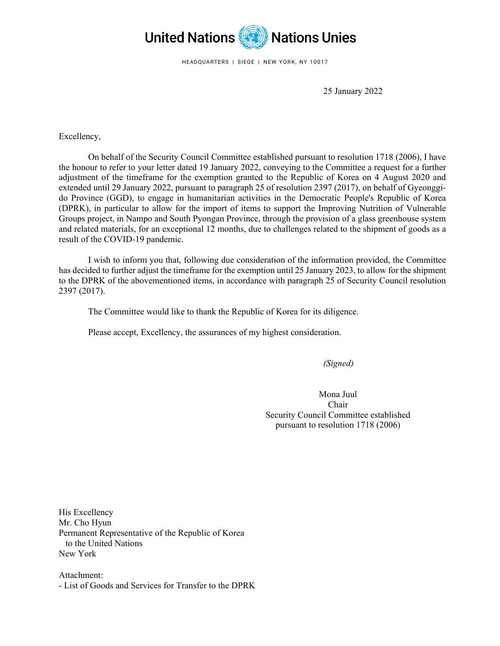

HEADQUARTERS | SIEGE | NEW YORK, NY 10017

25 January 2022

Excellency,

On behalf of the Security Council Committee established pursuant to resolution 1718 (2006), I have the honour to refer to your letter dated 19 January 2022, conveying to the Committee a request for a further adjustment of the timeframe for the exemption granted to the Republic of Korea on 4 August 2020 and extended until 29 January 2022, pursuant to paragraph 25 of resolution 2397 (2017), on behalf of Gyeonggido Province (GGD), to engage in humanitarian activities in the Democratic People's Republic of Korea (DPRK), in particular to allow for the import of items to support the Improving Nutrition of Vulnerable Groups project, in Nampo and South Pyongan Province, through the provision of a glass greenhouse system and related materials, for an exceptional 12 months, due to challenges related to the shipment of goods as a result of the COVID-19 pandemic.

I wish to inform you that, following due consideration of the information provided, the Committee has decided to further adjust the timeframe for the exemption until 25 January 2023, to allow for the shipment to the DPRK of the abovementioned items, in accordance with paragraph 25 of Security Council resolution 2397 (2017).

The Committee would like to thank the Republic of Korea for its diligence.

Please accept, Excellency, the assurances of my highest consideration.

*(Signed)*

Mona Juul Chair Security Council Committee established pursuant to resolution 1718 (2006)

His Excellency Mr. Cho Hyun Permanent Representative of the Republic of Korea to the United Nations New York

Attachment: - List of Goods and Services for Transfer to the DPRK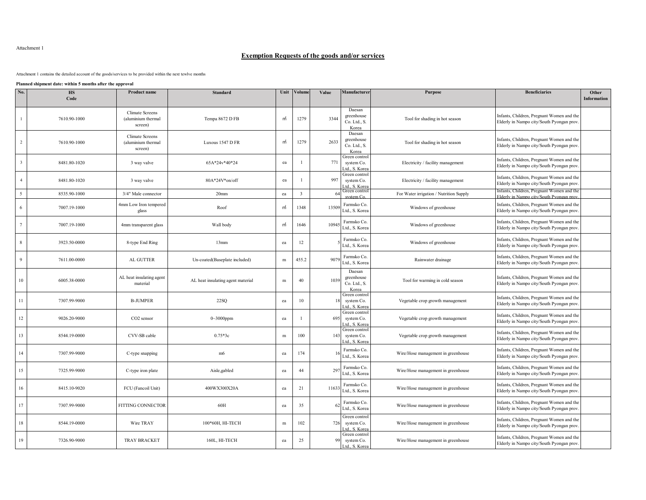## Attachment 1

## **Exemption Requests of the goods and/or services**

Attachment 1 contains the detailed account of the goods/services to be provided within the next tewlve months

**Planned shipment date: within 5 months after the approval**

| No.                     | <b>HS</b><br>Code | <b>Product name</b>                              | <b>Standard</b>                   | Unit      | Volume       | Value | Manufacturer                                  | Purpose                                 | <b>Beneficiaries</b>                                                                   | Other<br>Information |
|-------------------------|-------------------|--------------------------------------------------|-----------------------------------|-----------|--------------|-------|-----------------------------------------------|-----------------------------------------|----------------------------------------------------------------------------------------|----------------------|
| $\mathbf{1}$            | 7610.90-1000      | Climate Screens<br>(aluminium thermal<br>screen) | Tempa 8672 D FB                   | m         | 1279         | 3344  | Daesan<br>greenhouse<br>Co. Ltd., S.<br>Korea | Tool for shading in hot season          | Infants, Children, Pregnant Women and the<br>Elderly in Nampo city/South Pyongan prov  |                      |
| $\overline{2}$          | 7610.90-1000      | Climate Screens<br>(aluminium thermal<br>screen) | Luxous 1547 D FR                  | m         | 1279         | 2633  | Daesan<br>greenhouse<br>Co. Ltd., S.<br>Korea | Tool for shading in hot season          | Infants, Children, Pregnant Women and the<br>Elderly in Nampo city/South Pyongan prov. |                      |
| $\overline{\mathbf{3}}$ | 8481.80-1020      | 3 way valve                                      | 65A*24v*40*24                     | ea        |              | 771   | Green control<br>system Co.<br>td., S. Korea  | Electricity / facility management       | Infants, Children, Pregnant Women and the<br>Elderly in Nampo city/South Pyongan prov  |                      |
| $\overline{4}$          | 8481.80-1020      | 3 way valve                                      | 80A*24V*on/off                    | ea        |              | 997   | Green control<br>system Co.<br>td., S. Korea  | Electricity / facility management       | Infants, Children, Pregnant Women and the<br>Elderly in Nampo city/South Pyongan prov  |                      |
| 5                       | 8535.90-1000      | 3/4" Male connector                              | 20 <sub>mm</sub>                  | ea        | $\mathbf{3}$ |       | Green control<br>mC                           | For Water irrigation / Nutrition Supply | Infants, Children, Pregnant Women and the<br>Elderly in Nampo city/South Pyongan pro-  |                      |
| 6                       | 7007.19-1000      | 4mm Low Iron tempered<br>glass                   | Roof                              | m         | 1348         | 1350  | Farmsko Co.<br>Ltd., S. Korea                 | Windows of greenhouse                   | Infants, Children, Pregnant Women and the<br>Elderly in Nampo city/South Pyongan prov  |                      |
| $7\phantom{.0}$         | 7007.19-1000      | 4mm transparent glass                            | Wall body                         | m         | 1646         | 1094  | Farmsko Co.<br>Ltd., S. Korea                 | Windows of greenhouse                   | Infants, Children, Pregnant Women and the<br>Elderly in Nampo city/South Pyongan prov  |                      |
| 8                       | 3923.50-0000      | 8-type End Ring                                  | 13mm                              | ea        | 12           |       | Farmsko Co.<br>Ltd., S. Korea                 | Windows of greenhouse                   | Infants, Children, Pregnant Women and the<br>Elderly in Nampo city/South Pyongan prov  |                      |
| 9                       | 7611.00-0000      | <b>AL GUTTER</b>                                 | Un-coated(Baseplate included)     | m         | 455.2        | 907   | Farmsko Co.<br>Ltd., S. Korea                 | Rainwater drainage                      | Infants, Children, Pregnant Women and the<br>Elderly in Nampo city/South Pyongan prov  |                      |
| 10                      | 6005.38-0000      | AL heat insulating agent<br>material             | AL heat insulating agent material | $\,$ m    | 40           | 1039  | Daesan<br>greenhouse<br>Co. Ltd., S.<br>Korea | Tool for warming in cold season         | Infants, Children, Pregnant Women and the<br>Elderly in Nampo city/South Pyongan prov  |                      |
| 11                      | 7307.99-9000      | <b>B-JUMPER</b>                                  | 22SQ                              | ea        | 10           |       | Green control<br>system Co.<br>td., S. Korea  | Vegetable crop growth management        | Infants, Children, Pregnant Women and the<br>Elderly in Nampo city/South Pyongan prov  |                      |
| 12                      | 9026.20-9000      | CO <sub>2</sub> sensor                           | $0 - 3000$ ppm                    | ea        |              | 695   | Green control<br>system Co.<br>d S Kore       | Vegetable crop growth management        | Infants, Children, Pregnant Women and the<br>Elderly in Nampo city/South Pyongan prov  |                      |
| 13                      | 8544.19-0000      | CVV-SB cable                                     | $0.75*3c$                         | ${\bf m}$ | 100          | 143   | Green control<br>system Co.<br>td., S. Korea  | Vegetable crop growth management        | Infants, Children, Pregnant Women and the<br>Elderly in Nampo city/South Pyongan prov  |                      |
| 14                      | 7307.99-9000      | C-type snapping                                  | m <sub>6</sub>                    | ea        | 174          |       | Farmsko Co.<br>Ltd., S. Korea                 | Wire/Hose management in greenhouse      | Infants, Children, Pregnant Women and the<br>Elderly in Nampo city/South Pyongan prov  |                      |
| 15                      | 7325.99-9000      | C-type iron plate                                | Aisle, gabled                     | ea        | 44           | 29    | Farmsko Co.<br>Ltd., S. Korea                 | Wire/Hose management in greenhouse      | Infants, Children, Pregnant Women and the<br>Elderly in Nampo city/South Pyongan prov  |                      |
| 16                      | 8415.10-9020      | FCU (Fancoil Unit)                               | 400WX300X20A                      | ea        | 21           | 1163  | Farmsko Co.<br>Ltd., S. Korea                 | Wire/Hose management in greenhouse      | Infants, Children, Pregnant Women and the<br>Elderly in Nampo city/South Pyongan prov  |                      |
| 17                      | 7307.99-9000      | <b>FITTING CONNECTOR</b>                         | 60H                               | ea        | 35           | 6     | Farmsko Co.<br>Ltd., S. Korea                 | Wire/Hose management in greenhouse      | Infants, Children, Pregnant Women and the<br>Elderly in Nampo city/South Pyongan prov  |                      |
| 18                      | 8544.19-0000      | Wire TRAY                                        | 100*60H, HI-TECH                  | m         | 102          | 726   | Green control<br>system Co.<br>td., S. Korea  | Wire/Hose management in greenhouse      | Infants, Children, Pregnant Women and the<br>Elderly in Nampo city/South Pyongan prov  |                      |
| 19                      | 7326.90-9000      | <b>TRAY BRACKET</b>                              | 160L, HI-TECH                     | ea        | 25           | 99    | Green control<br>system Co.<br>Ltd., S. Kore  | Wire/Hose management in greenhouse      | Infants, Children, Pregnant Women and the<br>Elderly in Nampo city/South Pyongan prov  |                      |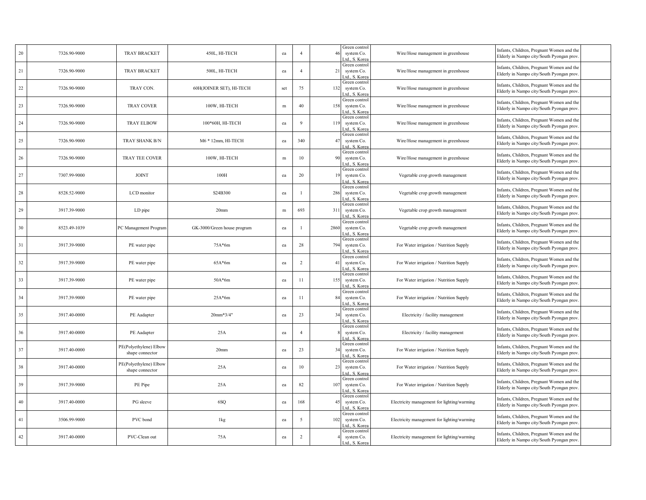| 20 | 7326.90-9000 | <b>TRAY BRACKET</b>                       | 450L, HI-TECH               | ea     | $\overline{4}$ | 46   | Green control<br>system Co.<br>.td., S. Korea | Wire/Hose management in greenhouse          | Infants, Children, Pregnant Women and the<br>Elderly in Nampo city/South Pyongan prov  |
|----|--------------|-------------------------------------------|-----------------------------|--------|----------------|------|-----------------------------------------------|---------------------------------------------|----------------------------------------------------------------------------------------|
| 21 | 7326.90-9000 | <b>TRAY BRACKET</b>                       | 500L, HI-TECH               | ea     | $\overline{4}$ | 21   | Green control<br>system Co.<br>td., S. Korea  | Wire/Hose management in greenhouse          | Infants, Children, Pregnant Women and the<br>Elderly in Nampo city/South Pyongan prov  |
| 22 | 7326.90-9000 | TRAY CON.                                 | 60H(JOINER SET), HI-TECH    | set    | 75             | 132  | Green control<br>system Co.<br>Ltd., S. Korea | Wire/Hose management in greenhouse          | Infants, Children, Pregnant Women and the<br>Elderly in Nampo city/South Pyongan prov  |
| 23 | 7326.90-9000 | <b>TRAY COVER</b>                         | 100W, HI-TECH               | $\,$ m | 40             | 158  | Green control<br>system Co.<br>Ltd., S. Korea | Wire/Hose management in greenhouse          | Infants, Children, Pregnant Women and the<br>Elderly in Nampo city/South Pyongan prov  |
| 24 | 7326.90-9000 | <b>TRAY ELBOW</b>                         | 100*60Н, НІ-ТЕСН            | ea     | $\mathbf{Q}$   | 119  | Green control<br>system Co.<br>Ltd., S. Korea | Wire/Hose management in greenhouse          | Infants, Children, Pregnant Women and the<br>Elderly in Nampo city/South Pyongan prov  |
| 25 | 7326.90-9000 | TRAY SHANK B/N                            | M6 * 12mm, HI-TECH          | ea     | 340            | 47   | Green control<br>system Co.<br>td., S. Korea  | Wire/Hose management in greenhouse          | Infants, Children, Pregnant Women and the<br>Elderly in Nampo city/South Pyongan prov  |
| 26 | 7326.90-9000 | TRAY TEE COVER                            | 100W, HI-TECH               | m      | 10             | 90   | Green control<br>system Co.<br>Ltd., S. Kore: | Wire/Hose management in greenhouse          | Infants, Children, Pregnant Women and the<br>Elderly in Nampo city/South Pyongan prov  |
| 27 | 7307.99-9000 | <b>JOINT</b>                              | 100H                        | ea     | 20             | 19   | Green control<br>system Co.<br>td., S. Korea  | Vegetable crop growth management            | Infants, Children, Pregnant Women and the<br>Elderly in Nampo city/South Pyongan prov  |
| 28 | 8528.52-9000 | LCD monitor                               | S24B300                     | ea     |                | 286  | Green control<br>system Co.<br>Ad., S. Korea  | Vegetable crop growth management            | Infants, Children, Pregnant Women and the<br>Elderly in Nampo city/South Pyongan prov  |
| 29 | 3917.39-9000 | LD pipe                                   | 20 <sub>mm</sub>            | m      | 693            | 311  | Green control<br>system Co.<br>td., S. Korea  | Vegetable crop growth management            | Infants, Children, Pregnant Women and the<br>Elderly in Nampo city/South Pyongan prov  |
| 30 | 8523.49-1039 | PC Management Program                     | GK-3000/Green house program | ea     |                | 2860 | Green control<br>system Co.<br>Ltd., S. Korea | Vegetable crop growth management            | Infants, Children, Pregnant Women and the<br>Elderly in Nampo city/South Pyongan prov  |
| 31 | 3917.39-9000 | PE water pipe                             | $75A*6m$                    | ea     | $28\,$         | 794  | Green control<br>system Co.<br>td., S. Korea  | For Water irrigation / Nutrition Supply     | Infants, Children, Pregnant Women and the<br>Elderly in Nampo city/South Pyongan prov  |
| 32 | 3917.39-9000 | PE water pipe                             | $65A*6m$                    | ea     | $\overline{c}$ | 41   | Green control<br>system Co.<br>.td., S. Korea | For Water irrigation / Nutrition Supply     | Infants, Children, Pregnant Women and the<br>Elderly in Nampo city/South Pyongan prov  |
| 33 | 3917.39-9000 | PE water pipe                             | $50A*6m$                    | ea     | 11             | 155  | Green control<br>system Co.<br>td., S. Korea  | For Water irrigation / Nutrition Supply     | Infants, Children, Pregnant Women and the<br>Elderly in Nampo city/South Pyongan prov  |
| 34 | 3917.39-9000 | PE water pipe                             | $25A*6m$                    | ea     | 11             | 84   | Green control<br>system Co.<br>.td., S. Kore: | For Water irrigation / Nutrition Supply     | Infants, Children, Pregnant Women and the<br>Elderly in Nampo city/South Pyongan prov  |
| 35 | 3917.40-0000 | PE Aadapter                               | $20mm*3/4"$                 | ea     | 23             | 34   | Green control<br>system Co.<br>Ltd., S. Korea | Electricity / facility management           | Infants, Children, Pregnant Women and the<br>Elderly in Nampo city/South Pyongan prov  |
| 36 | 3917.40-0000 | PE Aadapter                               | 25A                         | ea     | $\overline{4}$ |      | Green control<br>system Co.<br>Ltd., S. Korea | Electricity / facility management           | Infants, Children, Pregnant Women and the<br>Elderly in Nampo city/South Pyongan prov  |
| 37 | 3917.40-0000 | PE(Polyethylene) Elbow<br>shape connector | 20 <sub>mm</sub>            | ea     | 23             | 34   | Green control<br>system Co.<br>td., S. Korea  | For Water irrigation / Nutrition Supply     | Infants, Children, Pregnant Women and the<br>Elderly in Nampo city/South Pyongan prov  |
| 38 | 3917.40-0000 | PE(Polyethylene) Elbow<br>shape connector | 25A                         | ea     | 10             | 23   | Green control<br>system Co.<br>Ltd., S. Kore: | For Water irrigation / Nutrition Supply     | Infants, Children, Pregnant Women and the<br>Elderly in Nampo city/South Pyongan prov  |
| 39 | 3917.39-9000 | PE Pipe                                   | 25A                         | ea     | 82             | 107  | Green control<br>system Co.<br>td., S. Korea  | For Water irrigation / Nutrition Supply     | Infants, Children, Pregnant Women and the<br>Elderly in Nampo city/South Pyongan prov  |
| 40 | 3917.40-0000 | PG sleeve                                 | 6SQ                         | ea     | 168            | 45   | Green control<br>system Co.<br>Ltd., S. Korea | Electricity management for lighting/warming | Infants, Children, Pregnant Women and the<br>Elderly in Nampo city/South Pyongan prov  |
| 41 | 3506.99-9000 | PVC bond                                  | 1kg                         | ea     | 5              | 102  | Green control<br>system Co.<br>td., S. Korea  | Electricity management for lighting/warming | Infants, Children, Pregnant Women and the<br>Elderly in Nampo city/South Pyongan prov  |
| 42 | 3917.40-0000 | PVC-Clean out                             | 75A                         | ea     | $\overline{2}$ |      | Green control<br>system Co.<br>Ltd., S. Korea | Electricity management for lighting/warming | Infants, Children, Pregnant Women and the<br>Elderly in Nampo city/South Pyongan prov. |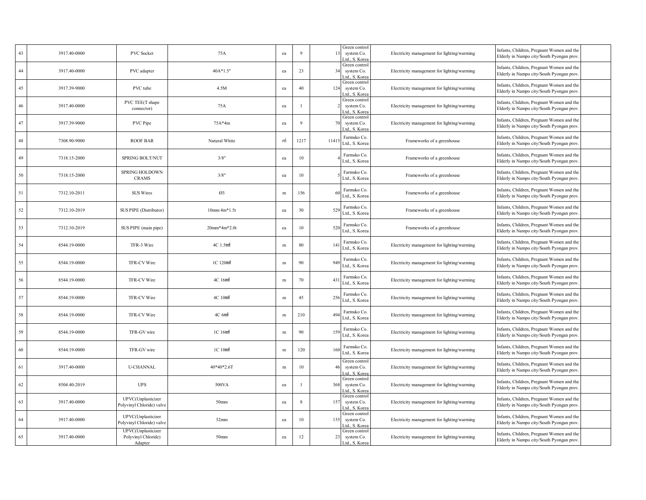| 43 | 3917.40-0000 | PVC Socket                                           | 75A                | ea           | 9       | 13              | Green control<br>system Co.<br>td., S. Kore   | Electricity management for lighting/warming | Infants, Children, Pregnant Women and the<br>Elderly in Nampo city/South Pyongan prov  |  |
|----|--------------|------------------------------------------------------|--------------------|--------------|---------|-----------------|-----------------------------------------------|---------------------------------------------|----------------------------------------------------------------------------------------|--|
| 44 | 3917.40-0000 | PVC adapter                                          | 40A*1.5"           | ea           | 23      | 34              | Green control<br>system Co.<br>Ltd., S. Korea | Electricity management for lighting/warming | Infants, Children, Pregnant Women and the<br>Elderly in Nampo city/South Pyongan prov. |  |
| 45 | 3917.39-9000 | PVC tube                                             | 4.5M               | ea           | 40      | 124             | Green control<br>system Co.<br>td., S. Kore   | Electricity management for lighting/warming | Infants, Children, Pregnant Women and the<br>Elderly in Nampo city/South Pyongan prov  |  |
| 46 | 3917.40-0000 | PVC TEE(T shape<br>connector)                        | 75A                | ea           |         |                 | Green control<br>system Co.<br>Ltd., S. Korea | Electricity management for lighting/warming | Infants, Children, Pregnant Women and the<br>Elderly in Nampo city/South Pyongan prov  |  |
| 47 | 3917.39-9000 | PVC Pipe                                             | $75A*4m$           | ea           | 9       | 70              | Green control<br>system Co.<br>td., S. Kore:  | Electricity management for lighting/warming | Infants, Children, Pregnant Women and the<br>Elderly in Nampo city/South Pyongan prov  |  |
| 48 | 7308.90-9000 | <b>ROOF BAR</b>                                      | Natural White      | m            | 1217    | 1141            | Farmsko Co.<br>Ltd., S. Korea                 | Frameworks of a greenhouse                  | Infants, Children, Pregnant Women and the<br>Elderly in Nampo city/South Pyongan prov. |  |
| 49 | 7318.15-2000 | SPRING BOLT/NUT                                      | 3/8"               | ea           | 10      |                 | Farmsko Co.<br>Ltd., S. Korea                 | Frameworks of a greenhouse                  | Infants, Children, Pregnant Women and the<br>Elderly in Nampo city/South Pyongan prov. |  |
| 50 | 7318.15-2000 | <b>SPRING HOLDOWN</b><br><b>CRAMS</b>                | 3/8"               | ea           | $10\,$  |                 | Farmsko Co.<br>Ltd., S. Korea                 | Frameworks of a greenhouse                  | Infants, Children, Pregnant Women and the<br>Elderly in Nampo city/South Pyongan prov  |  |
| 51 | 7312.10-2011 | SUS Wires                                            | Ø3                 | m            | 156     |                 | Farmsko Co.<br>Ltd., S. Korea                 | Frameworks of a greenhouse                  | Infants, Children, Pregnant Women and the<br>Elderly in Nampo city/South Pyongan prov  |  |
| 52 | 7312.10-2019 | SUS PIPE (Distributor)                               | $10mm 4m*1.5t$     | ea           | 30      | 529             | Farmsko Co.<br>Ltd., S. Korea                 | Frameworks of a greenhouse                  | Infants, Children, Pregnant Women and the<br>Elderly in Nampo city/South Pyongan prov. |  |
| 53 | 7312.10-2019 | SUS PIPE (main pipe)                                 | 20mm*4m*2.0t       | ea           | 10      | 520             | Farmsko Co.<br>Ltd., S. Korea                 | Frameworks of a greenhouse                  | Infants, Children, Pregnant Women and the<br>Elderly in Nampo city/South Pyongan prov  |  |
| 54 | 8544.19-0000 | TFR-3 Wire                                           | 4C 1.5mm           | m            | $80\,$  | 14 <sub>1</sub> | Farmsko Co.<br>Ltd., S. Korea                 | Electricity management for lighting/warming | Infants, Children, Pregnant Women and the<br>Elderly in Nampo city/South Pyongan prov  |  |
| 55 | 8544.19-0000 | TFR-CV Wire                                          | 1C 120mm           | m            | 90      | 949             | Farmsko Co.<br>Ltd., S. Korea                 | Electricity management for lighting/warming | Infants, Children, Pregnant Women and the<br>Elderly in Nampo city/South Pyongan prov  |  |
| 56 | 8544.19-0000 | TFR-CV Wire                                          | 4C 16mm            | m            | 70      | 431             | Farmsko Co.<br>Ltd., S. Korea                 | Electricity management for lighting/warming | Infants, Children, Pregnant Women and the<br>Elderly in Nampo city/South Pyongan prov. |  |
| 57 | 8544.19-0000 | TFR-CV Wire                                          | 4C 10mm            | m            | 45      | 256             | Farmsko Co.<br>Ltd., S. Korea                 | Electricity management for lighting/warming | Infants, Children, Pregnant Women and the<br>Elderly in Nampo city/South Pyongan prov. |  |
| 58 | 8544.19-0000 | TFR-CV Wire                                          | 4C 6mm             | m            | 210     | 494             | Farmsko Co.<br>Ltd., S. Korea                 | Electricity management for lighting/warming | Infants, Children, Pregnant Women and the<br>Elderly in Nampo city/South Pyongan prov  |  |
| 59 | 8544.19-0000 | TFR-GV wire                                          | $1C$ $16$ mm       | ${\bf m}$    | 90      | 159             | Farmsko Co.<br>Ltd., S. Korea                 | Electricity management for lighting/warming | Infants, Children, Pregnant Women and the<br>Elderly in Nampo city/South Pyongan prov  |  |
| 60 | 8544.19-0000 | TFR-GV wire                                          | $1C$ 10 $m\hat{m}$ | $\, {\rm m}$ | 120     | 160             | Farmsko Co.<br>Ltd., S. Korea                 | Electricity management for lighting/warming | Infants, Children, Pregnant Women and the<br>Elderly in Nampo city/South Pyongan prov. |  |
| 61 | 3917.40-0000 | <b>U-CHANNAL</b>                                     | 40*40*2.6T         | $\,$ m       | 10      |                 | Green control<br>system Co.<br>Ltd., S. Kore  | Electricity management for lighting/warming | Infants, Children, Pregnant Women and the<br>Elderly in Nampo city/South Pyongan prov. |  |
| 62 | 8504.40-2019 | <b>UPS</b>                                           | 500VA              | ea           |         | 368             | Green control<br>system Co.<br>Ltd., S. Korea | Electricity management for lighting/warming | Infants, Children, Pregnant Women and the<br>Elderly in Nampo city/South Pyongan prov  |  |
| 63 | 3917.40-0000 | UPVC(Unplasticizer<br>Polyvinyl Chloride) valve      | 50 <sub>mm</sub>   | ea           | 8       | 157             | Green control<br>system Co.<br>A.d., S. Kore  | Electricity management for lighting/warming | Infants, Children, Pregnant Women and the<br>Elderly in Nampo city/South Pyongan prov  |  |
| 64 | 3917.40-0000 | UPVC(Unplasticizer<br>Polyvinyl Chloride) valve      | 32mm               | ea           | $10\,$  | 135             | Green control<br>system Co.<br>td., S. Korea  | Electricity management for lighting/warming | Infants, Children, Pregnant Women and the<br>Elderly in Nampo city/South Pyongan prov. |  |
| 65 | 3917.40-0000 | UPVC(Unplasticizer<br>Polyvinyl Chloride)<br>Adapter | 50 <sub>mm</sub>   | ea           | $12 \,$ | 23              | Green control<br>system Co.<br>Ltd., S. Kore: | Electricity management for lighting/warming | Infants, Children, Pregnant Women and the<br>Elderly in Nampo city/South Pyongan prov. |  |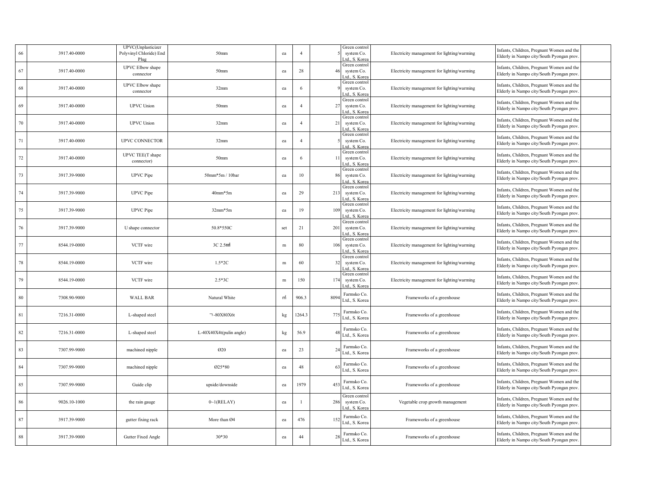| 66     | 3917.40-0000 | UPVC(Unplasticizer<br>Polyvinyl Chloride) End<br>Plus | 50 <sub>mm</sub>        | ea           | $\overline{4}$ |      | Green control<br>system Co.<br>td., S. Kore   | Electricity management for lighting/warming | Infants, Children, Pregnant Women and the<br>Elderly in Nampo city/South Pyongan prov |
|--------|--------------|-------------------------------------------------------|-------------------------|--------------|----------------|------|-----------------------------------------------|---------------------------------------------|---------------------------------------------------------------------------------------|
| 67     | 3917.40-0000 | UPVC Elbow shape<br>connector                         | 50 <sub>mm</sub>        | ea           | 28             | 46   | Green control<br>system Co.<br>Ltd., S. Korea | Electricity management for lighting/warming | Infants, Children, Pregnant Women and the<br>Elderly in Nampo city/South Pyongan prov |
| 68     | 3917.40-0000 | UPVC Elbow shape<br>connector                         | 32mm                    | ea           | 6              |      | Green control<br>system Co.<br>td., S. Kore:  | Electricity management for lighting/warming | Infants, Children, Pregnant Women and the<br>Elderly in Nampo city/South Pyongan prov |
| 69     | 3917.40-0000 | <b>UPVC</b> Union                                     | 50mm                    | ea           | $\overline{4}$ | 27   | Green control<br>system Co.<br>Ltd., S. Korea | Electricity management for lighting/warming | Infants, Children, Pregnant Women and the<br>Elderly in Nampo city/South Pyongan prov |
| 70     | 3917.40-0000 | <b>UPVC</b> Union                                     | 32mm                    | ea           | $\overline{4}$ | 21   | Green control<br>system Co.<br>td., S. Korea  | Electricity management for lighting/warming | Infants, Children, Pregnant Women and the<br>Elderly in Nampo city/South Pyongan prov |
| $71\,$ | 3917.40-0000 | UPVC CONNECTOR                                        | 32mm                    | ea           | $\overline{4}$ |      | Green control<br>system Co.<br>Ltd., S. Korea | Electricity management for lighting/warming | Infants, Children, Pregnant Women and the<br>Elderly in Nampo city/South Pyongan prov |
| 72     | 3917.40-0000 | UPVC TEE(T shape<br>connector)                        | 50 <sub>mm</sub>        | ea           | 6              | -11  | Green control<br>system Co.<br>td., S. Kore   | Electricity management for lighting/warming | Infants, Children, Pregnant Women and the<br>Elderly in Nampo city/South Pyongan prov |
| 73     | 3917.39-9000 | <b>UPVC</b> Pipe                                      | 50mm*5m / 10bar         | ea           | $10\,$         | 86   | Green control<br>system Co.<br>Ltd., S. Korea | Electricity management for lighting/warming | Infants, Children, Pregnant Women and the<br>Elderly in Nampo city/South Pyongan prov |
| 74     | 3917.39-9000 | <b>UPVC</b> Pipe                                      | $40mm*5m$               | ea           | 29             | 213  | Green control<br>system Co.<br>.td., S. Kore  | Electricity management for lighting/warming | Infants, Children, Pregnant Women and the<br>Elderly in Nampo city/South Pyongan prov |
| 75     | 3917.39-9000 | <b>UPVC</b> Pipe                                      | $32mm*5m$               | ea           | 19             | 109  | Green control<br>system Co.<br>Ltd., S. Korea | Electricity management for lighting/warming | Infants, Children, Pregnant Women and the<br>Elderly in Nampo city/South Pyongan prov |
| 76     | 3917.39-9000 | U shape connector                                     | 50.8*550C               | set          | 21             | 201  | Green control<br>system Co.<br>Ltd., S. Kore  | Electricity management for lighting/warming | Infants, Children, Pregnant Women and the<br>Elderly in Nampo city/South Pyongan prov |
| 77     | 8544.19-0000 | VCTF wire                                             | 3C 2.5mm                | $\,$ m       | 80             | 106  | Green control<br>system Co.<br>Ltd., S. Korea | Electricity management for lighting/warming | Infants, Children, Pregnant Women and the<br>Elderly in Nampo city/South Pyongan prov |
| 78     | 8544.19-0000 | VCTF wire                                             | $1.5*2C$                | $\,$ m       | 60             | 32   | Green control<br>system Co.<br>Ltd., S. Korea | Electricity management for lighting/warming | Infants, Children, Pregnant Women and the<br>Elderly in Nampo city/South Pyongan prov |
| 79     | 8544.19-0000 | VCTF wire                                             | $2.5*3C$                | $\, {\rm m}$ | 150            | 174  | Green control<br>system Co.<br>Ltd., S. Korea | Electricity management for lighting/warming | Infants, Children, Pregnant Women and the<br>Elderly in Nampo city/South Pyongan prov |
| 80     | 7308.90-9000 | <b>WALL BAR</b>                                       | Natural White           | m            | 906.3          | 8094 | Farmsko Co.<br>Ltd., S. Korea                 | Frameworks of a greenhouse                  | Infants, Children, Pregnant Women and the<br>Elderly in Nampo city/South Pyongan prov |
| 81     | 7216.31-0000 | L-shaped steel                                        | □-80X80X6t              | kg           | 1264.3         | 775  | Farmsko Co.<br>Ltd., S. Korea                 | Frameworks of a greenhouse                  | Infants, Children, Pregnant Women and the<br>Elderly in Nampo city/South Pyongan prov |
| 82     | 7216.31-0000 | L-shaped steel                                        | L-40X40X4t(pulin angle) | kg           | 56.9           |      | Farmsko Co.<br>Ltd., S. Korea                 | Frameworks of a greenhouse                  | Infants, Children, Pregnant Women and the<br>Elderly in Nampo city/South Pyongan prov |
| 83     | 7307.99-9000 | machined nipple                                       | 020                     | ea           | 23             | 24   | Farmsko Co.<br>Ltd., S. Korea                 | Frameworks of a greenhouse                  | Infants, Children, Pregnant Women and the<br>Elderly in Nampo city/South Pyongan prov |
| 84     | 7307.99-9000 | machined nipple                                       | 025*80                  | ea           | 48             |      | Farmsko Co.<br>Ltd., S. Korea                 | Frameworks of a greenhouse                  | Infants, Children, Pregnant Women and the<br>Elderly in Nampo city/South Pyongan prov |
| $85\,$ | 7307.99-9000 | Guide clip                                            | upside/downside         | ea           | 1979           | 453  | Farmsko Co.<br>Ltd., S. Korea                 | Frameworks of a greenhouse                  | Infants, Children, Pregnant Women and the<br>Elderly in Nampo city/South Pyongan prov |
| 86     | 9026.10-1000 | the rain gauge                                        | 0~1(RELAY)              | ea           |                | 286  | Green control<br>system Co.<br>.td., S. Kore  | Vegetable crop growth management            | Infants, Children, Pregnant Women and the<br>Elderly in Nampo city/South Pyongan prov |
| 87     | 3917.39-9000 | gutter fixing rack                                    | More than Ø4            | ea           | 476            | 152  | Farmsko Co.<br>Ltd., S. Korea                 | Frameworks of a greenhouse                  | Infants, Children, Pregnant Women and the<br>Elderly in Nampo city/South Pyongan prov |
| 88     | 3917.39-9000 | Gutter Fixed Angle                                    | $30*30$                 | ea           | 44             | 28   | Farmsko Co.<br>Ltd., S. Korea                 | Frameworks of a greenhouse                  | Infants, Children, Pregnant Women and the<br>Elderly in Nampo city/South Pyongan prov |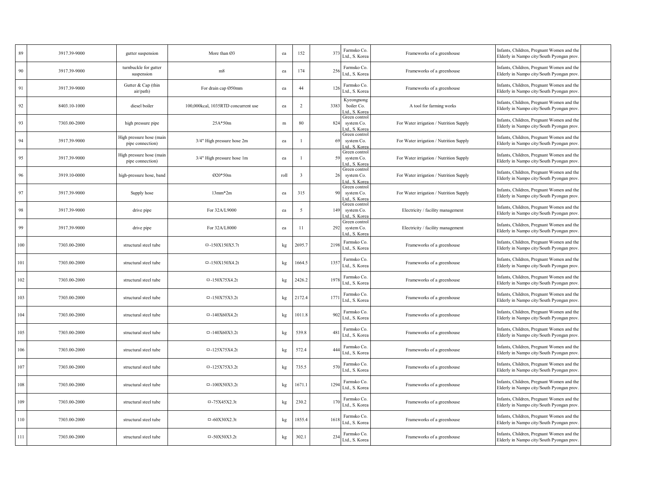| 89       | 3917.39-9000 | gutter suspension                            | More than Ø3                        | ea   | 152                     | 37   | Farmsko Co.<br>Ltd., S. Korea                 | Frameworks of a greenhouse              | Infants, Children, Pregnant Women and the<br>Elderly in Nampo city/South Pyongan prov  |  |
|----------|--------------|----------------------------------------------|-------------------------------------|------|-------------------------|------|-----------------------------------------------|-----------------------------------------|----------------------------------------------------------------------------------------|--|
| $90\,$   | 3917.39-9000 | turnbuckle for gutter<br>suspension          | m8                                  | ea   | 174                     | 256  | Farmsko Co.<br>Ltd., S. Korea                 | Frameworks of a greenhouse              | Infants, Children, Pregnant Women and the<br>Elderly in Nampo city/South Pyongan prov  |  |
| 91       | 3917.39-9000 | Gutter & Cap (thin<br>air/path)              | For drain cap Ø50mm                 | ea   | 44                      | 126  | Farmsko Co.<br>Ltd., S. Korea                 | Frameworks of a greenhouse              | Infants, Children, Pregnant Women and the<br>Elderly in Nampo city/South Pyongan prov  |  |
| 92       | 8403.10-1000 | diesel boiler                                | 100,000kcal, 1035RTD concurrent use | ea   | $\overline{2}$          | 3383 | Kyeongnong<br>boiler Co.<br>Ltd., S. Korea    | A tool for farming works                | Infants, Children, Pregnant Women and the<br>Elderly in Nampo city/South Pyongan prov  |  |
| 93       | 7303.00-2000 | high pressure pipe                           | $25A*50m$                           | m    | 80                      | 824  | Green control<br>system Co.<br>Ltd., S. Korea | For Water irrigation / Nutrition Supply | Infants, Children, Pregnant Women and the<br>Elderly in Nampo city/South Pyongan prov  |  |
| 94       | 3917.39-9000 | High pressure hose (main<br>pipe connection) | 3/4" High pressure hose 2m          | ea   |                         | -69  | Green control<br>system Co.<br>Ltd., S. Korea | For Water irrigation / Nutrition Supply | Infants, Children, Pregnant Women and the<br>Elderly in Nampo city/South Pyongan prov. |  |
| 95       | 3917.39-9000 | High pressure hose (main<br>pipe connection) | 3/4" High pressure hose 1m          | ea   | $\overline{1}$          | 59   | Green control<br>system Co.<br>Ltd., S. Korea | For Water irrigation / Nutrition Supply | Infants, Children, Pregnant Women and the<br>Elderly in Nampo city/South Pyongan prov. |  |
| 96       | 3919.10-0000 | high-pressure hose, band                     | Ø20*50m                             | roll | $\overline{\mathbf{3}}$ | 26   | Green control<br>system Co.<br>Ltd., S. Korea | For Water irrigation / Nutrition Supply | Infants, Children, Pregnant Women and the<br>Elderly in Nampo city/South Pyongan prov  |  |
| 97       | 3917.39-9000 | Supply hose                                  | $13mm*2m$                           | ea   | 315                     |      | Green control<br>system Co.<br>Ltd., S. Korea | For Water irrigation / Nutrition Supply | Infants, Children, Pregnant Women and the<br>Elderly in Nampo city/South Pyongan prov  |  |
| $\rm 98$ | 3917.39-9000 | drive pipe                                   | For 32A/L9000                       | ea   | 5                       | 149  | Green control<br>system Co.<br>Ltd., S. Korea | Electricity / facility management       | Infants, Children, Pregnant Women and the<br>Elderly in Nampo city/South Pyongan prov. |  |
| 99       | 3917.39-9000 | drive pipe                                   | For 32A/L8000                       | ea   | 11                      | 292  | Green control<br>system Co.<br>Ltd., S. Kore  | Electricity / facility management       | Infants, Children, Pregnant Women and the<br>Elderly in Nampo city/South Pyongan prov. |  |
| 100      | 7303.00-2000 | structural steel tube                        | $-150X150X5.7t$                     | kg   | 2695.7                  | 2198 | Farmsko Co.<br>Ltd., S. Korea                 | Frameworks of a greenhouse              | Infants, Children, Pregnant Women and the<br>Elderly in Nampo city/South Pyongan prov  |  |
| 101      | 7303.00-2000 | structural steel tube                        | $-150X150X4.2t$                     | kg   | 1664.5                  | 135  | Farmsko Co.<br>Ltd., S. Korea                 | Frameworks of a greenhouse              | Infants, Children, Pregnant Women and the<br>Elderly in Nampo city/South Pyongan prov  |  |
| 102      | 7303.00-2000 | structural steel tube                        | $-150X75X4.2t$                      | kg   | 2426.2                  | 197  | Farmsko Co.<br>Ltd., S. Korea                 | Frameworks of a greenhouse              | Infants, Children, Pregnant Women and the<br>Elderly in Nampo city/South Pyongan prov. |  |
| 103      | 7303.00-2000 | structural steel tube                        | $-150X75X3.2t$                      | kg   | 2172.4                  | 177  | Farmsko Co.<br>Ltd., S. Korea                 | Frameworks of a greenhouse              | Infants, Children, Pregnant Women and the<br>Elderly in Nampo city/South Pyongan prov. |  |
| 104      | 7303.00-2000 | structural steel tube                        | $-140X60X4.2t$                      | kg   | 1011.8                  | 902  | Farmsko Co.<br>Ltd., S. Korea                 | Frameworks of a greenhouse              | Infants, Children, Pregnant Women and the<br>Elderly in Nampo city/South Pyongan prov  |  |
| 105      | 7303.00-2000 | structural steel tube                        | $-140X60X3.2t$                      | kg   | 539.8                   | 48   | Farmsko Co.<br>Ltd., S. Korea                 | Frameworks of a greenhouse              | Infants, Children, Pregnant Women and the<br>Elderly in Nampo city/South Pyongan prov  |  |
| 106      | 7303.00-2000 | structural steel tube                        | $-125X75X4.2t$                      | kg   | 572.4                   | 444  | Farmsko Co.<br>Ltd., S. Korea                 | Frameworks of a greenhouse              | Infants, Children, Pregnant Women and the<br>Elderly in Nampo city/South Pyongan prov  |  |
| 107      | 7303.00-2000 | structural steel tube                        | $-125X75X3.2t$                      | kg   | 735.5                   | 570  | Farmsko Co.<br>Ltd., S. Korea                 | Frameworks of a greenhouse              | Infants, Children, Pregnant Women and the<br>Elderly in Nampo city/South Pyongan prov. |  |
| 108      | 7303.00-2000 | structural steel tube                        | $-100X50X3.2t$                      | kg   | 1671.                   | 1294 | Farmsko Co.<br>Ltd., S. Korea                 | Frameworks of a greenhouse              | Infants, Children, Pregnant Women and the<br>Elderly in Nampo city/South Pyongan prov  |  |
| 109      | 7303.00-2000 | structural steel tube                        | $-75X45X2.3t$                       | kg   | 230.2                   | 170  | Farmsko Co.<br>Ltd., S. Korea                 | Frameworks of a greenhouse              | Infants, Children, Pregnant Women and the<br>Elderly in Nampo city/South Pyongan prov  |  |
| 110      | 7303.00-2000 | structural steel tube                        | $= -60X30X2.3t$                     | kg   | 1855.4                  | 161  | Farmsko Co.<br>Ltd., S. Korea                 | Frameworks of a greenhouse              | Infants, Children, Pregnant Women and the<br>Elderly in Nampo city/South Pyongan prov  |  |
| 111      | 7303.00-2000 | structural steel tube                        | $-50X50X3.2t$                       | kg   | 302.1                   | 234  | Farmsko Co.<br>Ltd., S. Korea                 | Frameworks of a greenhouse              | Infants, Children, Pregnant Women and the<br>Elderly in Nampo city/South Pyongan prov. |  |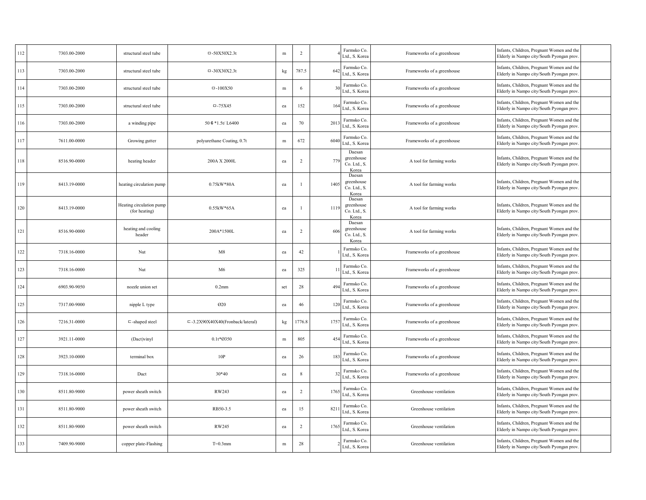| 112 | 7303.00-2000 | structural steel tube                     | $-50X50X2.3t$                       | ${\bf m}$     | $\overline{2}$ |                 | Farmsko Co.<br>Ltd., S. Korea                 | Frameworks of a greenhouse | Infants, Children, Pregnant Women and the<br>Elderly in Nampo city/South Pyongan prov  |  |
|-----|--------------|-------------------------------------------|-------------------------------------|---------------|----------------|-----------------|-----------------------------------------------|----------------------------|----------------------------------------------------------------------------------------|--|
| 113 | 7303.00-2000 | structural steel tube                     | $= -30X30X2.3t$                     | $\mathbf{kg}$ | 787.5          | 64              | Farmsko Co.<br>Ltd., S. Korea                 | Frameworks of a greenhouse | Infants, Children, Pregnant Women and the<br>Elderly in Nampo city/South Pyongan prov. |  |
| 114 | 7303.00-2000 | structural steel tube                     | $-100X50$                           | ${\bf m}$     | 6              |                 | Farmsko Co.<br>Ltd., S. Korea                 | Frameworks of a greenhouse | Infants, Children, Pregnant Women and the<br>Elderly in Nampo city/South Pyongan prov. |  |
| 115 | 7303.00-2000 | structural steel tube                     | $-75X45$                            | ea            | 152            | 16              | Farmsko Co.<br>Ltd., S. Korea                 | Frameworks of a greenhouse | Infants, Children, Pregnant Women and the<br>Elderly in Nampo city/South Pyongan prov  |  |
| 116 | 7303.00-2000 | a winding pipe                            | 50 $*1.5t/L6400$                    | ea            | 70             | 201             | Farmsko Co.<br>Ltd., S. Korea                 | Frameworks of a greenhouse | Infants, Children, Pregnant Women and the<br>Elderly in Nampo city/South Pyongan prov. |  |
| 117 | 7611.00-0000 | Growing gutter                            | polyurethane Coating, 0.7t          | ${\bf m}$     | 672            | 604             | Farmsko Co.<br>Ltd., S. Korea                 | Frameworks of a greenhouse | Infants, Children, Pregnant Women and the<br>Elderly in Nampo city/South Pyongan prov  |  |
| 118 | 8516.90-0000 | heating header                            | 200A X 2000L                        | ea            | 2              | 779             | Daesan<br>greenhouse<br>Co. Ltd., S.<br>Korea | A tool for farming works   | Infants, Children, Pregnant Women and the<br>Elderly in Nampo city/South Pyongan prov. |  |
| 119 | 8413.19-0000 | heating circulation pump                  | 0.75kW*80A                          | ea            |                | 1405            | Daesan<br>greenhouse<br>Co. Ltd., S.<br>Korea | A tool for farming works   | Infants, Children, Pregnant Women and the<br>Elderly in Nampo city/South Pyongan prov. |  |
| 120 | 8413.19-0000 | Heating circulation pump<br>(for heating) | $0.55kW*65A$                        | ea            |                | 1119            | Daesan<br>greenhouse<br>Co. Ltd., S.<br>Korea | A tool for farming works   | Infants, Children, Pregnant Women and the<br>Elderly in Nampo city/South Pyongan prov. |  |
| 121 | 8516.90-0000 | heating and cooling<br>header             | 200A*1500L                          | ea            | 2              | 606             | Daesan<br>greenhouse<br>Co. Ltd., S.<br>Korea | A tool for farming works   | Infants, Children, Pregnant Women and the<br>Elderly in Nampo city/South Pyongan prov  |  |
| 122 | 7318.16-0000 | Nut                                       | M8                                  | ea            | 42             |                 | Farmsko Co.<br>Ltd., S. Korea                 | Frameworks of a greenhouse | Infants, Children, Pregnant Women and the<br>Elderly in Nampo city/South Pyongan prov. |  |
| 123 | 7318.16-0000 | Nut                                       | M6                                  | ea            | 325            |                 | Farmsko Co.<br>Ltd., S. Korea                 | Frameworks of a greenhouse | Infants, Children, Pregnant Women and the<br>Elderly in Nampo city/South Pyongan prov. |  |
| 124 | 6903.90-9050 | nozzle union set                          | $0.2$ mm                            | set           | 28             | 49              | Farmsko Co.<br>Ltd., S. Korea                 | Frameworks of a greenhouse | Infants, Children, Pregnant Women and the<br>Elderly in Nampo city/South Pyongan prov. |  |
| 125 | 7317.00-9000 | nipple L type                             | 020                                 | ea            | 46             | 12              | Farmsko Co.<br>Ltd., S. Korea                 | Frameworks of a greenhouse | Infants, Children, Pregnant Women and the<br>Elderly in Nampo city/South Pyongan prov. |  |
| 126 | 7216.31-0000 | $=$ -shaped steel                         | $= -3.2X90X40X40(Fronback/lateral)$ | kg            | 1776.8         | 175             | Farmsko Co.<br>Ltd., S. Korea                 | Frameworks of a greenhouse | Infants, Children, Pregnant Women and the<br>Elderly in Nampo city/South Pyongan prov. |  |
| 127 | 3921.11-0000 | (Dact)vinyl                               | $0.1t*$ 0350                        | ${\bf m}$     | 805            | 45              | Farmsko Co.<br>Ltd., S. Korea                 | Frameworks of a greenhouse | Infants, Children, Pregnant Women and the<br>Elderly in Nampo city/South Pyongan prov. |  |
| 128 | 3923.10-0000 | terminal box                              | 10P                                 | ea            | 26             | 18 <sup>2</sup> | Farmsko Co.<br>Ltd., S. Korea                 | Frameworks of a greenhouse | Infants, Children, Pregnant Women and the<br>Elderly in Nampo city/South Pyongan prov. |  |
| 129 | 7318.16-0000 | Duct                                      | $30*40$                             | ea            | 8              |                 | Farmsko Co.<br>Ltd., S. Korea                 | Frameworks of a greenhouse | Infants, Children, Pregnant Women and the<br>Elderly in Nampo city/South Pyongan prov. |  |
| 130 | 8511.80-9000 | power sheath switch                       | RW243                               | ea            | $\overline{2}$ | 176             | Farmsko Co.<br>Ltd., S. Korea                 | Greenhouse ventilation     | Infants, Children, Pregnant Women and the<br>Elderly in Nampo city/South Pyongan prov. |  |
| 131 | 8511.80-9000 | power sheath switch                       | RB50-3.5                            | ea            | 15             | 821             | Farmsko Co.<br>Ltd., S. Korea                 | Greenhouse ventilation     | Infants, Children, Pregnant Women and the<br>Elderly in Nampo city/South Pyongan prov. |  |
| 132 | 8511.80-9000 | power sheath switch                       | RW245                               | ea            | $\overline{2}$ | 176             | Farmsko Co.<br>Ltd., S. Korea                 | Greenhouse ventilation     | Infants, Children, Pregnant Women and the<br>Elderly in Nampo city/South Pyongan prov. |  |
| 133 | 7409.90-9000 | copper plate-Flashing                     | $T=0.3$ mm                          | ${\bf m}$     | 28             |                 | Farmsko Co.<br>Ltd., S. Korea                 | Greenhouse ventilation     | Infants, Children, Pregnant Women and the<br>Elderly in Nampo city/South Pyongan prov. |  |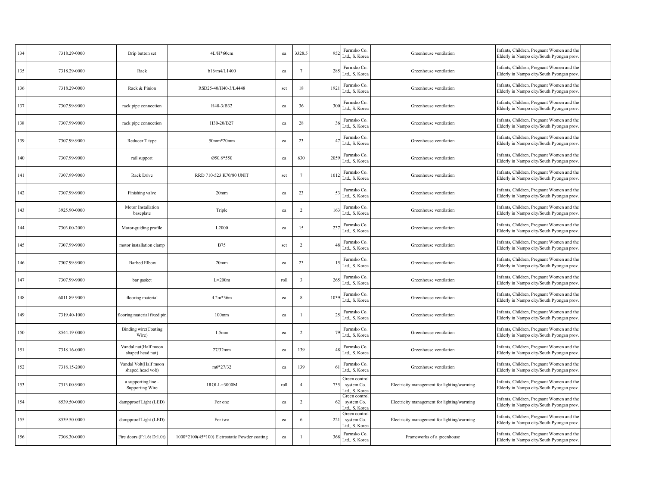| 134 | 7318.29-0000 | Drip button set                            | 4L/H*60cm                                     | ea   | 3328.5                  | 95           | Farmsko Co.<br>Ltd., S. Korea                 | Greenhouse ventilation                      | Infants, Children, Pregnant Women and the<br>Elderly in Nampo city/South Pyongan prov  |  |
|-----|--------------|--------------------------------------------|-----------------------------------------------|------|-------------------------|--------------|-----------------------------------------------|---------------------------------------------|----------------------------------------------------------------------------------------|--|
| 135 | 7318.29-0000 | Rack                                       | b16/m4/L1400                                  | ea   | 7                       | 28           | Farmsko Co.<br>Ltd., S. Korea                 | Greenhouse ventilation                      | Infants, Children, Pregnant Women and the<br>Elderly in Nampo city/South Pyongan prov. |  |
| 136 | 7318.29-0000 | Rack & Pinion                              | RSD25-40/H40-3/L4448                          | set  | 18                      | 192          | Farmsko Co.<br>Ltd., S. Korea                 | Greenhouse ventilation                      | Infants, Children, Pregnant Women and the<br>Elderly in Nampo city/South Pyongan prov. |  |
| 137 | 7307.99-9000 | rack pipe connection                       | H40-3/B32                                     | ea   | 36                      | 30           | Farmsko Co.<br>Ltd., S. Korea                 | Greenhouse ventilation                      | Infants, Children, Pregnant Women and the<br>Elderly in Nampo city/South Pyongan prov  |  |
| 138 | 7307.99-9000 | rack pipe connection                       | H30-20/B27                                    | ea   | 28                      |              | Farmsko Co.<br>Ltd., S. Korea                 | Greenhouse ventilation                      | Infants, Children, Pregnant Women and the<br>Elderly in Nampo city/South Pyongan prov  |  |
| 139 | 7307.99-9000 | Reducer T type                             | $50mm*20mm$                                   | ea   | 23                      |              | Farmsko Co.<br>Ltd., S. Korea                 | Greenhouse ventilation                      | Infants, Children, Pregnant Women and the<br>Elderly in Nampo city/South Pyongan prov. |  |
| 140 | 7307.99-9000 | rail support                               | 050.8*550                                     | ea   | 630                     | 2059         | Farmsko Co.<br>Ltd., S. Korea                 | Greenhouse ventilation                      | Infants, Children, Pregnant Women and the<br>Elderly in Nampo city/South Pyongan prov. |  |
| 141 | 7307.99-9000 | Rack Drive                                 | RRD 710-523 K70/80 UNIT                       | set  | $7\phantom{.0}$         | 101          | Farmsko Co.<br>Ltd., S. Korea                 | Greenhouse ventilation                      | Infants, Children, Pregnant Women and the<br>Elderly in Nampo city/South Pyongan prov  |  |
| 142 | 7307.99-9000 | Finishing valve                            | 20 <sub>mm</sub>                              | ea   | 23                      |              | Farmsko Co.<br>Ltd., S. Korea                 | Greenhouse ventilation                      | Infants, Children, Pregnant Women and the<br>Elderly in Nampo city/South Pyongan prov  |  |
| 143 | 3925.90-0000 | Motor Installation<br>baseplate            | Triple                                        | ea   | $\overline{2}$          | $16^{\circ}$ | Farmsko Co.<br>Ltd., S. Korea                 | Greenhouse ventilation                      | Infants, Children, Pregnant Women and the<br>Elderly in Nampo city/South Pyongan prov. |  |
| 144 | 7303.00-2000 | Motor-guiding profile                      | L2000                                         | ea   | 15                      | 237          | Farmsko Co.<br>Ltd., S. Korea                 | Greenhouse ventilation                      | Infants, Children, Pregnant Women and the<br>Elderly in Nampo city/South Pyongan prov. |  |
| 145 | 7307.99-9000 | motor installation clamp                   | <b>B75</b>                                    | set  | $\overline{2}$          |              | Farmsko Co.<br>Ltd., S. Korea                 | Greenhouse ventilation                      | Infants, Children, Pregnant Women and the<br>Elderly in Nampo city/South Pyongan prov  |  |
| 146 | 7307.99-9000 | <b>Barbed Elbow</b>                        | 20 <sub>mm</sub>                              | ea   | 23                      |              | Farmsko Co.<br>Ltd., S. Korea                 | Greenhouse ventilation                      | Infants, Children, Pregnant Women and the<br>Elderly in Nampo city/South Pyongan prov  |  |
| 147 | 7307.99-9000 | bar gasket                                 | $L=200m$                                      | roll | $\overline{\mathbf{3}}$ | 26           | Farmsko Co.<br>Ltd., S. Korea                 | Greenhouse ventilation                      | Infants, Children, Pregnant Women and the<br>Elderly in Nampo city/South Pyongan prov. |  |
| 148 | 6811.89-9000 | flooring material                          | $4.2m*36m$                                    | ea   | 8                       | 1039         | Farmsko Co.<br>Ltd., S. Korea                 | Greenhouse ventilation                      | Infants, Children, Pregnant Women and the<br>Elderly in Nampo city/South Pyongan prov. |  |
| 149 | 7319.40-1000 | flooring material fixed pin                | $100$ mm                                      | ea   |                         |              | Farmsko Co.<br>Ltd., S. Korea                 | Greenhouse ventilation                      | Infants, Children, Pregnant Women and the<br>Elderly in Nampo city/South Pyongan prov. |  |
| 150 | 8544.19-0000 | <b>Binding wire(Coating</b><br>Wire)       | 1.5 <sub>mm</sub>                             | ea   | 2                       |              | Farmsko Co.<br>Ltd., S. Korea                 | Greenhouse ventilation                      | Infants, Children, Pregnant Women and the<br>Elderly in Nampo city/South Pyongan prov  |  |
| 151 | 7318.16-0000 | Vandal nut(Half moon<br>shaped head nut)   | 27/32mm                                       | ea   | 139                     |              | Farmsko Co.<br>Ltd., S. Korea                 | Greenhouse ventilation                      | Infants, Children, Pregnant Women and the<br>Elderly in Nampo city/South Pyongan prov  |  |
| 152 | 7318.15-2000 | Vandal Volt(Half moon<br>shaped head volt) | $m6*27/32$                                    | ea   | 139                     |              | Farmsko Co.<br>Ltd., S. Korea                 | Greenhouse ventilation                      | Infants, Children, Pregnant Women and the<br>Elderly in Nampo city/South Pyongan prov. |  |
| 153 | 7313.00-9000 | a supporting line -<br>Supporting Wire     | 1ROLL=3000M                                   | roll | $\overline{4}$          | 735          | Green control<br>system Co.<br>Ltd., S. Korea | Electricity management for lighting/warming | Infants, Children, Pregnant Women and the<br>Elderly in Nampo city/South Pyongan prov. |  |
| 154 | 8539.50-0000 | dampproof Light (LED)                      | For one                                       | ea   | $\overline{2}$          |              | Green control<br>system Co.<br>Ltd., S. Kore  | Electricity management for lighting/warming | Infants, Children, Pregnant Women and the<br>Elderly in Nampo city/South Pyongan prov. |  |
| 155 | 8539.50-0000 | dampproof Light (LED)                      | For two                                       | ea   | 6                       | 221          | Green control<br>system Co.<br>td., S. Korea  | Electricity management for lighting/warming | Infants, Children, Pregnant Women and the<br>Elderly in Nampo city/South Pyongan prov. |  |
| 156 | 7308.30-0000 | Fire doors $(F:1.6t D:1.0t)$               | 1000*2100(45*100) Eletrostatic Powder coating | ea   | $\overline{1}$          | 368          | Farmsko Co.<br>Ltd., S. Korea                 | Frameworks of a greenhouse                  | Infants, Children, Pregnant Women and the<br>Elderly in Nampo city/South Pyongan prov. |  |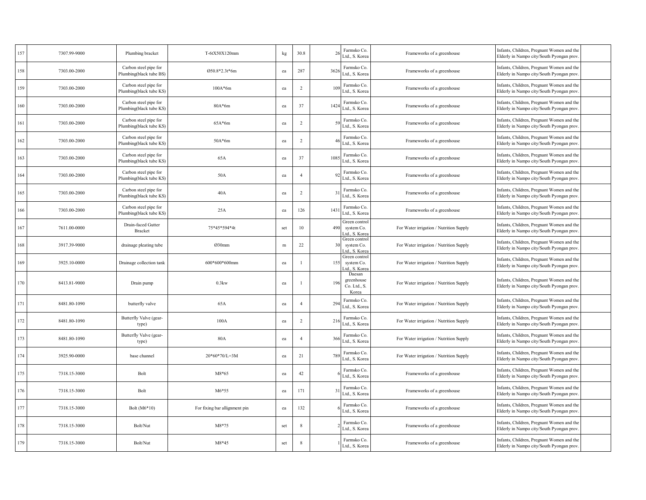| 157 | 7307.99-9000 | Plumbing bracket                                 | T-6tX50X120mm                 | kg  | 30.8           | 26              | Farmsko Co.<br>Ltd., S. Korea                 | Frameworks of a greenhouse              | Infants, Children, Pregnant Women and the<br>Elderly in Nampo city/South Pyongan prov  |  |
|-----|--------------|--------------------------------------------------|-------------------------------|-----|----------------|-----------------|-----------------------------------------------|-----------------------------------------|----------------------------------------------------------------------------------------|--|
| 158 | 7303.00-2000 | Carbon steel pipe for<br>Plumbing(black tube BS) | Ø50.8*2.3t*6m                 | ea  | 287            | 362             | Farmsko Co.<br>Ltd., S. Korea                 | Frameworks of a greenhouse              | Infants, Children, Pregnant Women and the<br>Elderly in Nampo city/South Pyongan prov  |  |
| 159 | 7303.00-2000 | Carbon steel pipe for<br>Plumbing(black tube KS) | $100A*6m$                     | ea  | 2              | $\overline{10}$ | Farmsko Co.<br>Ltd., S. Korea                 | Frameworks of a greenhouse              | Infants, Children, Pregnant Women and the<br>Elderly in Nampo city/South Pyongan prov. |  |
| 160 | 7303.00-2000 | Carbon steel pipe for<br>Plumbing(black tube KS) | $80A*6m$                      | ea  | 37             | 142             | Farmsko Co.<br>Ltd., S. Korea                 | Frameworks of a greenhouse              | Infants, Children, Pregnant Women and the<br>Elderly in Nampo city/South Pyongan prov  |  |
| 161 | 7303.00-2000 | Carbon steel pipe for<br>Plumbing(black tube KS) | $65A*6m$                      | ea  | $\overline{c}$ | -59             | Farmsko Co.<br>Ltd., S. Korea                 | Frameworks of a greenhouse              | Infants, Children, Pregnant Women and the<br>Elderly in Nampo city/South Pyongan prov  |  |
| 162 | 7303.00-2000 | Carbon steel pipe for<br>Plumbing(black tube KS) | $50A*6m$                      | ea  | $\overline{c}$ |                 | Farmsko Co.<br>Ltd., S. Korea                 | Frameworks of a greenhouse              | Infants, Children, Pregnant Women and the<br>Elderly in Nampo city/South Pyongan prov  |  |
| 163 | 7303.00-2000 | Carbon steel pipe for<br>Plumbing(black tube KS) | 65A                           | ea  | 37             | 108             | Farmsko Co.<br>Ltd., S. Korea                 | Frameworks of a greenhouse              | Infants, Children, Pregnant Women and the<br>Elderly in Nampo city/South Pyongan prov. |  |
| 164 | 7303.00-2000 | Carbon steel pipe for<br>Plumbing(black tube KS) | 50A                           | ea  | $\overline{4}$ |                 | Farmsko Co.<br>Ltd., S. Korea                 | Frameworks of a greenhouse              | Infants, Children, Pregnant Women and the<br>Elderly in Nampo city/South Pyongan prov. |  |
| 165 | 7303.00-2000 | Carbon steel pipe for<br>Plumbing(black tube KS) | 40A                           | ea  | $\overline{2}$ | $\mathcal{E}$   | Farmsko Co.<br>Ltd., S. Korea                 | Frameworks of a greenhouse              | Infants, Children, Pregnant Women and the<br>Elderly in Nampo city/South Pyongan prov  |  |
| 166 | 7303.00-2000 | Carbon steel pipe for<br>Plumbing(black tube KS) | 25A                           | ea  | 126            | 143             | Farmsko Co.<br>Ltd., S. Korea                 | Frameworks of a greenhouse              | Infants, Children, Pregnant Women and the<br>Elderly in Nampo city/South Pyongan prov  |  |
| 167 | 7611.00-0000 | Drain-faced Gutter<br>Bracket                    | 75*45*594*4t                  | set | 10             | 490             | Green control<br>system Co.<br>td., S. Korea  | For Water irrigation / Nutrition Supply | Infants, Children, Pregnant Women and the<br>Elderly in Nampo city/South Pyongan prov  |  |
| 168 | 3917.39-9000 | drainage pleating tube                           | Ø30mm                         | m   | 22             | 30              | Green control<br>system Co.<br>td., S. Korea  | For Water irrigation / Nutrition Supply | Infants, Children, Pregnant Women and the<br>Elderly in Nampo city/South Pyongan prov. |  |
| 169 | 3925.10-0000 | Drainage collection tank                         | 600*600*600mm                 | ea  |                | 155             | Green control<br>system Co.<br>td., S. Korea  | For Water irrigation / Nutrition Supply | Infants, Children, Pregnant Women and the<br>Elderly in Nampo city/South Pyongan prov  |  |
| 170 | 8413.81-9000 | Drain pump                                       | 0.3kw                         | ea  |                | 196             | Daesan<br>greenhouse<br>Co. Ltd., S.<br>Korea | For Water irrigation / Nutrition Supply | Infants, Children, Pregnant Women and the<br>Elderly in Nampo city/South Pyongan prov. |  |
| 171 | 8481.80-1090 | butterfly valve                                  | 65A                           | ea  | $\overline{4}$ | 294             | Farmsko Co.<br>Ltd., S. Korea                 | For Water irrigation / Nutrition Supply | Infants, Children, Pregnant Women and the<br>Elderly in Nampo city/South Pyongan prov  |  |
| 172 | 8481.80-1090 | Butterfly Valve (gear-<br>type)                  | 100A                          | ea  | $\overline{2}$ | 216             | Farmsko Co.<br>Ltd., S. Korea                 | For Water irrigation / Nutrition Supply | Infants, Children, Pregnant Women and the<br>Elderly in Nampo city/South Pyongan prov  |  |
| 173 | 8481.80-1090 | Butterfly Valve (gear-<br>type)                  | 80A                           | ea  | $\overline{4}$ | 366             | Farmsko Co.<br>Ltd., S. Korea                 | For Water irrigation / Nutrition Supply | Infants, Children, Pregnant Women and the<br>Elderly in Nampo city/South Pyongan prov  |  |
| 174 | 3925.90-0000 | base channel                                     | 20*60*70/L=3M                 | ea  | 21             | 789             | Farmsko Co.<br>Ltd., S. Korea                 | For Water irrigation / Nutrition Supply | Infants, Children, Pregnant Women and the<br>Elderly in Nampo city/South Pyongan prov  |  |
| 175 | 7318.15-3000 | Bolt                                             | M8*65                         | ea  | 42             |                 | Farmsko Co.<br>Ltd., S. Korea                 | Frameworks of a greenhouse              | Infants, Children, Pregnant Women and the<br>Elderly in Nampo city/South Pyongan prov  |  |
| 176 | 7318.15-3000 | Bolt                                             | $M6*55$                       | ea  | 171            | 31              | Farmsko Co.<br>Ltd., S. Korea                 | Frameworks of a greenhouse              | Infants, Children, Pregnant Women and the<br>Elderly in Nampo city/South Pyongan prov  |  |
| 177 | 7318.15-3000 | Bolt (M6*10)                                     | For fixing bar allignment pin | ea  | 132            |                 | Farmsko Co.<br>Ltd., S. Korea                 | Frameworks of a greenhouse              | Infants, Children, Pregnant Women and the<br>Elderly in Nampo city/South Pyongan prov  |  |
| 178 | 7318.15-3000 | Bolt/Nut                                         | M8*75                         | set | 8              |                 | Farmsko Co.<br>Ltd., S. Korea                 | Frameworks of a greenhouse              | Infants, Children, Pregnant Women and the<br>Elderly in Nampo city/South Pyongan prov. |  |
| 179 | 7318.15-3000 | Bolt/Nut                                         | M8*45                         | set | 8              |                 | Farmsko Co.<br>Ltd., S. Korea                 | Frameworks of a greenhouse              | Infants, Children, Pregnant Women and the<br>Elderly in Nampo city/South Pyongan prov. |  |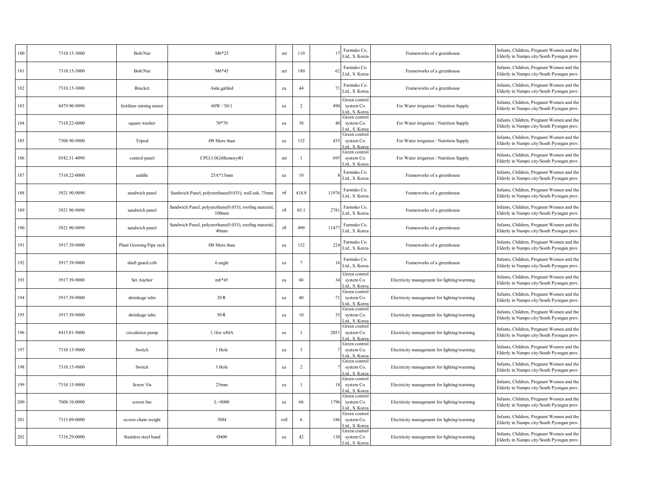| 180 | 7318.15-3000 | Bolt/Nut                  | $M6*25$                                                                    | set  | 110                     |      | Farmsko Co.<br>Ltd., S. Korea                 | Frameworks of a greenhouse                  | Infants, Children, Pregnant Women and the<br>Elderly in Nampo city/South Pyongan prov  |  |
|-----|--------------|---------------------------|----------------------------------------------------------------------------|------|-------------------------|------|-----------------------------------------------|---------------------------------------------|----------------------------------------------------------------------------------------|--|
| 181 | 7318.15-3000 | Bolt/Nut                  | $M6*45$                                                                    | set  | 180                     |      | Farmsko Co.<br>Ltd., S. Korea                 | Frameworks of a greenhouse                  | Infants, Children, Pregnant Women and the<br>Elderly in Nampo city/South Pyongan prov. |  |
| 182 | 7318.15-3000 | Bracket                   | Aisle, gabled                                                              | ea   | 44                      |      | Farmsko Co.<br>Ltd., S. Korea                 | Frameworks of a greenhouse                  | Infants, Children, Pregnant Women and the<br>Elderly in Nampo city/South Pyongan prov  |  |
| 183 | 8479.90-9090 | fertilizer stirring motor | 60W / 50:1                                                                 | ea   | $\overline{2}$          | 490  | Green control<br>system Co.<br>Ltd., S. Korea | For Water irrigation / Nutrition Supply     | Infants, Children, Pregnant Women and the<br>Elderly in Nampo city/South Pyongan prov  |  |
| 184 | 7318.22-0000 | square washer             | 70*70                                                                      | ea   | 38                      | 40   | Green control<br>system Co.<br>Ltd., S. Korea | For Water irrigation / Nutrition Supply     | Infants, Children, Pregnant Women and the<br>Elderly in Nampo city/South Pyongan prov  |  |
| 185 | 7308.90-9000 | Tripod                    | Ø8 More than                                                               | ea   | 152                     | 435  | Green control<br>system Co.<br>Ltd., S. Korea | For Water irrigation / Nutrition Supply     | Infants, Children, Pregnant Women and the<br>Elderly in Nampo city/South Pyongan prov. |  |
| 186 | 8542.31-4090 | control panel             | CPU(3.0G)Memory4G                                                          | set  | $\overline{1}$          | 695  | Green control<br>system Co.<br>Ltd., S. Kore  | For Water irrigation / Nutrition Supply     | Infants, Children, Pregnant Women and the<br>Elderly in Nampo city/South Pyongan prov. |  |
| 187 | 7318.22-0000 | saddle                    | $25A*13mm$                                                                 | ea   | 10                      |      | Farmsko Co.<br>Ltd., S. Korea                 | Frameworks of a greenhouse                  | Infants, Children, Pregnant Women and the<br>Elderly in Nampo city/South Pyongan prov  |  |
| 188 | 3921.90-9090 | sandwich panel            | Sandwich Panel, polyurethane(0.035), wall ash, 75mm                        | m    | 418.8                   | 1197 | Farmsko Co.<br>Ltd., S. Korea                 | Frameworks of a greenhouse                  | Infants, Children, Pregnant Women and the<br>Elderly in Nampo city/South Pyongan prov  |  |
| 189 | 3921.90-9090 | sandwich panel            | Sandwich Panel, polyurethane(0.035), roofing material,<br>$100$ mm         | m    | 85.1                    | 278  | Farmsko Co.<br>Ltd., S. Korea                 | Frameworks of a greenhouse                  | Infants, Children, Pregnant Women and the<br>Elderly in Nampo city/South Pyongan prov. |  |
| 190 | 3921.90-9090 | sandwich panel            | Sandwich Panel, polyurethane(0.035), roofing material,<br>40 <sub>mm</sub> | m    | 499                     | 1147 | Farmsko Co.<br>Ltd., S. Korea                 | Frameworks of a greenhouse                  | Infants, Children, Pregnant Women and the<br>Elderly in Nampo city/South Pyongan prov. |  |
| 191 | 3917.39-9000 | Plant Growing Pipe rack   | Ø8 More than                                                               | ea   | 152                     | 224  | Farmsko Co.<br>Ltd., S. Korea                 | Frameworks of a greenhouse                  | Infants, Children, Pregnant Women and the<br>Elderly in Nampo city/South Pyongan prov  |  |
| 192 | 3917.39-9000 | shaft guard crib          | 6 angle                                                                    | ea   | $7\phantom{.0}$         |      | Farmsko Co.<br>Ltd., S. Korea                 | Frameworks of a greenhouse                  | Infants, Children, Pregnant Women and the<br>Elderly in Nampo city/South Pyongan prov  |  |
| 193 | 3917.39-9000 | Set Anchor                | $m6*45$                                                                    | ea   | 60                      | 34   | Green control<br>system Co.<br>.td., S. Korea | Electricity management for lighting/warming | Infants, Children, Pregnant Women and the<br>Elderly in Nampo city/South Pyongan prov. |  |
| 194 | 3917.39-9000 | shrinkage tube            | $20 \, \phi$                                                               | ea   | 40                      | 71   | Green control<br>system Co.<br>Atd., S. Kore  | Electricity management for lighting/warming | Infants, Children, Pregnant Women and the<br>Elderly in Nampo city/South Pyongan prov. |  |
| 195 | 3917.39-9000 | shrinkage tube            | 50¢                                                                        | ea   | 10                      | 35   | Green control<br>system Co.<br>Ltd., S. Korea | Electricity management for lighting/warming | Infants, Children, Pregnant Women and the<br>Elderly in Nampo city/South Pyongan prov  |  |
| 196 | 8413.81-9000 | circulation pump          | 1.1kw x80A                                                                 | ea   |                         | 2051 | Green control<br>system Co.<br>td., S. Korea  | Electricity management for lighting/warming | Infants, Children, Pregnant Women and the<br>Elderly in Nampo city/South Pyongan prov  |  |
| 197 | 7318.15-9000 | Switch                    | 1 Hole                                                                     | ea   | $\overline{\mathbf{3}}$ |      | Green control<br>system Co.<br>Ltd., S. Korea | Electricity management for lighting/warming | Infants, Children, Pregnant Women and the<br>Elderly in Nampo city/South Pyongan prov  |  |
| 198 | 7318.15-9000 | Switch                    | 3 Hole                                                                     | ea   | 2                       |      | Green control<br>system Co.<br>.td., S. Kore: | Electricity management for lighting/warming | Infants, Children, Pregnant Women and the<br>Elderly in Nampo city/South Pyongan prov  |  |
| 199 | 7318.15-9000 | <b>Screw Vis</b>          | 25 <sub>mm</sub>                                                           | ea   |                         |      | Green control<br>system Co.<br>Ltd., S. Korea | Electricity management for lighting/warming | Infants, Children, Pregnant Women and the<br>Elderly in Nampo city/South Pyongan prov  |  |
| 200 | 7608.10-0000 | screen bar                | $L = 8000$                                                                 | ea   | 66                      | 1796 | Green control<br>system Co.<br>Ltd., S. Korea | Electricity management for lighting/warming | Infants, Children, Pregnant Women and the<br>Elderly in Nampo city/South Pyongan prov  |  |
| 201 | 7315.89-0000 | screen chain weight       | 30M                                                                        | roll | 6                       | 186  | Green control<br>system Co.<br>.td., S. Korea | Electricity management for lighting/warming | Infants, Children, Pregnant Women and the<br>Elderly in Nampo city/South Pyongan prov. |  |
| 202 | 7318.29-0000 | Stainless steel band      | 0400                                                                       | ea   | 42                      | 130  | Green control<br>system Co.<br>Ltd., S. Korea | Electricity management for lighting/warming | Infants, Children, Pregnant Women and the<br>Elderly in Nampo city/South Pyongan prov. |  |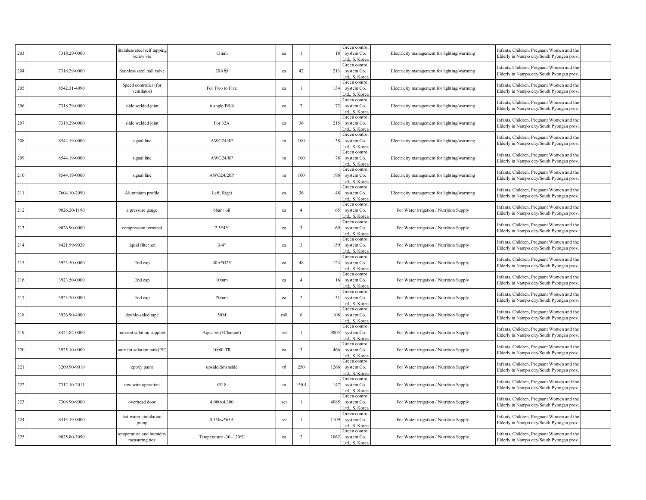| 203 | 7318.29-0000 | Stainless steel self tapping<br>screw vis | 13mm                  | ea   |                         | 18   | Green control<br>system Co.<br>Ltd., S. Kore: | Electricity management for lighting/warming | Infants, Children, Pregnant Women and the<br>Elderly in Nampo city/South Pyongan prov  |  |
|-----|--------------|-------------------------------------------|-----------------------|------|-------------------------|------|-----------------------------------------------|---------------------------------------------|----------------------------------------------------------------------------------------|--|
| 204 | 7318.29-0000 | Stainless steel ball valve                | $20A\circledast$      | ea   | 42                      | 213  | Green control<br>system Co.<br>Ltd., S. Korea | Electricity management for lighting/warming | Infants, Children, Pregnant Women and the<br>Elderly in Nampo city/South Pyongan prov. |  |
| 205 | 8542.31-4090 | Speed controller (for<br>ventilator)      | For Two to Five       | ea   |                         | 134  | Green control<br>system Co.<br>.td., S. Korea | Electricity management for lighting/warming | Infants, Children, Pregnant Women and the<br>Elderly in Nampo city/South Pyongan prov. |  |
| 206 | 7318.29-0000 | slide welded joint                        | 6 angle/B5/4          | ea   | $7\phantom{.0}$         | 72   | Green control<br>system Co.<br>Ltd., S. Korea | Electricity management for lighting/warming | Infants, Children, Pregnant Women and the<br>Elderly in Nampo city/South Pyongan prov  |  |
| 207 | 7318.29-0000 | slide welded joint                        | For 32A               | ea   | 36                      | 215  | Green control<br>system Co.<br>Ltd., S. Korea | Electricity management for lighting/warming | Infants, Children, Pregnant Women and the<br>Elderly in Nampo city/South Pyongan prov. |  |
| 208 | 8544.19-0000 | signal line                               | AWG24/4P              | m    | 100                     | 38   | Green control<br>system Co.<br>Ltd., S. Korea | Electricity management for lighting/warming | Infants, Children, Pregnant Women and the<br>Elderly in Nampo city/South Pyongan prov. |  |
| 209 | 8544.19-0000 | signal line                               | AWG24/8P              | m    | 100                     | 78   | Green control<br>system Co.<br>Ltd., S. Kore  | Electricity management for lighting/warming | Infants, Children, Pregnant Women and the<br>Elderly in Nampo city/South Pyongan prov. |  |
| 210 | 8544.19-0000 | signal line                               | AWG24/20P             | m    | 100                     | 196  | Green control<br>system Co.<br>Ltd., S. Korea | Electricity management for lighting/warming | Infants, Children, Pregnant Women and the<br>Elderly in Nampo city/South Pyongan prov  |  |
| 211 | 7604.10-2090 | Aluminium profile                         | Left, Right           | ea   | 36                      | 48   | Green control<br>system Co.<br>Ad., S. Korea  | Electricity management for lighting/warming | Infants, Children, Pregnant Women and the<br>Elderly in Nampo city/South Pyongan prov  |  |
| 212 | 9026.20-1190 | a pressure gauge                          | 6bar / oil            | ea   | $\overline{4}$          | 65   | Green control<br>system Co.<br>Ltd., S. Korea | For Water irrigation / Nutrition Supply     | Infants, Children, Pregnant Women and the<br>Elderly in Nampo city/South Pyongan prov. |  |
| 213 | 9026.90-0000 | compression terminal                      | $2.5*4Y$              | ea   | $\overline{\mathbf{3}}$ | 69   | Green control<br>system Co.<br>Ltd., S. Korea | For Water irrigation / Nutrition Supply     | Infants, Children, Pregnant Women and the<br>Elderly in Nampo city/South Pyongan prov. |  |
| 214 | 8421.99-9029 | liquid filter set                         | 3/4"                  | ea   | $\overline{\mathbf{3}}$ | 159  | Green control<br>system Co.<br>Ltd., S. Korea | For Water irrigation / Nutrition Supply     | Infants, Children, Pregnant Women and the<br>Elderly in Nampo city/South Pyongan prov  |  |
| 215 | 3923.50-0000 | End cap                                   | 40A*Ø25               | ea   | 48                      | 124  | Green control<br>system Co.<br>Ltd., S. Korea | For Water irrigation / Nutrition Supply     | Infants, Children, Pregnant Women and the<br>Elderly in Nampo city/South Pyongan prov. |  |
| 216 | 3923.50-0000 | End cap                                   | 10 <sub>mm</sub>      | ea   | $\overline{4}$          | 16   | Green control<br>system Co.<br>Ltd., S. Korea | For Water irrigation / Nutrition Supply     | Infants, Children, Pregnant Women and the<br>Elderly in Nampo city/South Pyongan prov. |  |
| 217 | 3923.50-0000 | End cap                                   | 20 <sub>mm</sub>      | ea   | $\overline{2}$          | 31   | Green control<br>system Co.<br>Ltd., S. Korea | For Water irrigation / Nutrition Supply     | Infants, Children, Pregnant Women and the<br>Elderly in Nampo city/South Pyongan prov. |  |
| 218 | 3926.90-4000 | double-sided tape                         | 50M                   | roll | 6                       | 108  | Green control<br>system Co.<br>Ltd., S. Korea | For Water irrigation / Nutrition Supply     | Infants, Children, Pregnant Women and the<br>Elderly in Nampo city/South Pyongan prov. |  |
| 219 | 8424.82-0000 | nutrient solution supplier                | Aqua-zet(3Channel)    | set  |                         | 9805 | Green control<br>system Co.<br>Ltd., S. Korea | For Water irrigation / Nutrition Supply     | Infants, Children, Pregnant Women and the<br>Elderly in Nampo city/South Pyongan prov  |  |
| 220 | 3925.10-0000 | nutrient solution tank(PE)                | 1000LTR               | ea   | $\overline{\mathbf{3}}$ | 466  | Green control<br>system Co.<br>Ltd., S. Korea | For Water irrigation / Nutrition Supply     | Infants, Children, Pregnant Women and the<br>Elderly in Nampo city/South Pyongan prov. |  |
| 221 | 3209.90-9019 | epoxy paint                               | upside/downside       | m    | 250                     | 1266 | Green control<br>system Co.<br>Ltd., S. Korea | For Water irrigation / Nutrition Supply     | Infants, Children, Pregnant Women and the<br>Elderly in Nampo city/South Pyongan prov. |  |
| 222 | 7312.10-2011 | tow wire operation                        | 02.8                  | m    | 150.4                   | 147  | Green control<br>system Co.<br>Ltd., S. Korea | For Water irrigation / Nutrition Supply     | Infants, Children, Pregnant Women and the<br>Elderly in Nampo city/South Pyongan prov  |  |
| 223 | 7308.90-9000 | overhead door                             | 4,000x4,300           | set  | $\overline{1}$          | 4085 | Green control<br>system Co.<br>Ltd., S. Korea | For Water irrigation / Nutrition Supply     | Infants, Children, Pregnant Women and the<br>Elderly in Nampo city/South Pyongan prov  |  |
| 224 | 8413.19-0000 | hot water circulation<br>pump             | 0.55kw*65A            | set  |                         | 1109 | Green control<br>system Co.<br>Ltd., S. Korea | For Water irrigation / Nutrition Supply     | Infants, Children, Pregnant Women and the<br>Elderly in Nampo city/South Pyongan prov. |  |
| 225 | 9025.80-3090 | temperature and humidity<br>measuring box | Temperature -30~120°C | ea   | $\overline{2}$          | 1062 | Green control<br>system Co.<br>Ltd., S. Korea | For Water irrigation / Nutrition Supply     | Infants, Children, Pregnant Women and the<br>Elderly in Nampo city/South Pyongan prov. |  |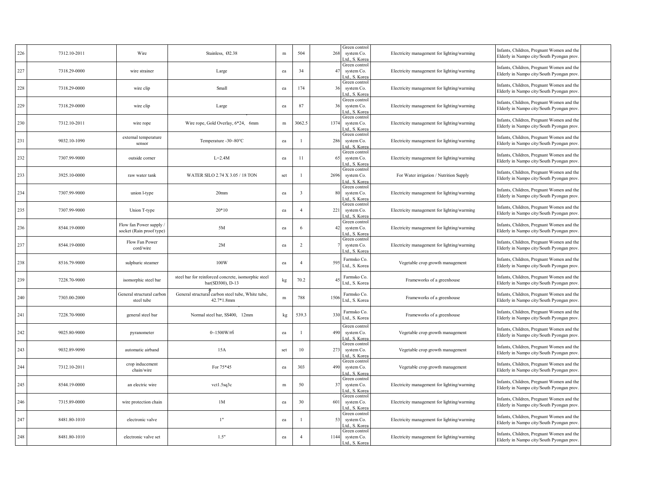| 226 | 7312.10-2011 | Wire                                              | Stainless, Ø2.38                                                        | $\,$ m | 504            | 268  | Green control<br>system Co.<br>td., S. Korea  | Electricity management for lighting/warming | Infants, Children, Pregnant Women and the<br>Elderly in Nampo city/South Pyongan prov  |
|-----|--------------|---------------------------------------------------|-------------------------------------------------------------------------|--------|----------------|------|-----------------------------------------------|---------------------------------------------|----------------------------------------------------------------------------------------|
| 227 | 7318.29-0000 | wire strainer                                     | Large                                                                   | ea     | 34             | 47   | Green control<br>system Co.<br>Ltd., S. Korea | Electricity management for lighting/warming | Infants, Children, Pregnant Women and the<br>Elderly in Nampo city/South Pyongan prov  |
| 228 | 7318.29-0000 | wire clip                                         | Small                                                                   | ea     | 174            | 36   | Green control<br>system Co.<br>Ltd., S. Korea | Electricity management for lighting/warming | Infants, Children, Pregnant Women and the<br>Elderly in Nampo city/South Pyongan prov  |
| 229 | 7318.29-0000 | wire clip                                         | Large                                                                   | ea     | 87             | 36   | Green control<br>system Co.<br>Ltd., S. Korea | Electricity management for lighting/warming | Infants, Children, Pregnant Women and the<br>Elderly in Nampo city/South Pyongan prov  |
| 230 | 7312.10-2011 | wire rope                                         | Wire rope, Gold Overlay, 6*24, 6mm                                      | m      | 3062.5         | 1374 | Green control<br>system Co.<br>Ltd., S. Korea | Electricity management for lighting/warming | Infants, Children, Pregnant Women and the<br>Elderly in Nampo city/South Pyongan prov  |
| 231 | 9032.10-1090 | external temperature<br>sensor                    | Temperature -30~80°C                                                    | ea     |                | 286  | Green control<br>system Co.<br>Ltd., S. Korea | Electricity management for lighting/warming | Infants, Children, Pregnant Women and the<br>Elderly in Nampo city/South Pyongan prov. |
| 232 | 7307.99-9000 | outside corner                                    | $L=2.4M$                                                                | ea     | 11             | 65   | Green control<br>system Co.<br>Ltd., S. Kore: | Electricity management for lighting/warming | Infants, Children, Pregnant Women and the<br>Elderly in Nampo city/South Pyongan prov  |
| 233 | 3925.10-0000 | raw water tank                                    | WATER SILO 2.74 X 3.05 / 18 TON                                         | set    | $\overline{1}$ | 2696 | Green control<br>system Co.<br>Ltd., S. Korea | For Water irrigation / Nutrition Supply     | Infants, Children, Pregnant Women and the<br>Elderly in Nampo city/South Pyongan prov  |
| 234 | 7307.99-9000 | union l-type                                      | 20 <sub>mm</sub>                                                        | ea     | $\overline{3}$ |      | Green control<br>system Co.<br>Ltd., S. Korea | Electricity management for lighting/warming | Infants, Children, Pregnant Women and the<br>Elderly in Nampo city/South Pyongan prov  |
| 235 | 7307.99-9000 | Union T-type                                      | $20*10$                                                                 | ea     | $\overline{4}$ | 221  | Green control<br>system Co.<br>Ltd., S. Korea | Electricity management for lighting/warming | Infants, Children, Pregnant Women and the<br>Elderly in Nampo city/South Pyongan prov  |
| 236 | 8544.19-0000 | Flow fan Power supply<br>socket (Rain proof type) | 5M                                                                      | ea     | 6              | 42   | Green control<br>system Co.<br>Ltd., S. Kore  | Electricity management for lighting/warming | Infants, Children, Pregnant Women and the<br>Elderly in Nampo city/South Pyongan prov  |
| 237 | 8544.19-0000 | Flow Fan Power<br>cord/wire                       | 2M                                                                      | ea     | $\overline{c}$ |      | Green control<br>system Co.<br>Ltd., S. Korea | Electricity management for lighting/warming | Infants, Children, Pregnant Women and the<br>Elderly in Nampo city/South Pyongan prov  |
| 238 | 8516.79-9000 | sulphuric steamer                                 | 100W                                                                    | ea     | $\overline{4}$ | 595  | Farmsko Co.<br>Ltd., S. Korea                 | Vegetable crop growth management            | Infants, Children, Pregnant Women and the<br>Elderly in Nampo city/South Pyongan prov  |
| 239 | 7228.70-9000 | isomorphic steel bar                              | steel bar for reinforced concrete, isomorphic steel<br>bar(SD300), D-13 | kg     | 70.2           |      | Farmsko Co.<br>Ltd., S. Korea                 | Frameworks of a greenhouse                  | Infants, Children, Pregnant Women and the<br>Elderly in Nampo city/South Pyongan prov. |
| 240 | 7303.00-2000 | General structural carbon<br>steel tube           | General structural carbon steel tube, White tube,<br>42.7*1.8mm         | m      | 788            | 1506 | Farmsko Co.<br>Ltd., S. Korea                 | Frameworks of a greenhouse                  | Infants, Children, Pregnant Women and the<br>Elderly in Nampo city/South Pyongan prov. |
| 241 | 7228.70-9000 | general steel bar                                 | Normal steel bar, SS400, 12mm                                           | kg     | 539.3          | 330  | Farmsko Co.<br>Ltd., S. Korea                 | Frameworks of a greenhouse                  | Infants, Children, Pregnant Women and the<br>Elderly in Nampo city/South Pyongan prov  |
| 242 | 9025.80-9000 | pyranometer                                       | $0 - 1500$ W/m                                                          | ea     |                | 490  | Green control<br>system Co.<br>Ltd., S. Korea | Vegetable crop growth management            | Infants, Children, Pregnant Women and the<br>Elderly in Nampo city/South Pyongan prov  |
| 243 | 9032.89-9090 | automatic airband                                 | 15A                                                                     | set    | 10             | 273  | Green control<br>system Co.<br>Ltd., S. Korea | Vegetable crop growth management            | Infants, Children, Pregnant Women and the<br>Elderly in Nampo city/South Pyongan prov  |
| 244 | 7312.10-2011 | crop inducement<br>chain/wire                     | For 75*45                                                               | ea     | 303            | 490  | Green control<br>system Co.<br>.td., S. Kore: | Vegetable crop growth management            | Infants, Children, Pregnant Women and the<br>Elderly in Nampo city/South Pyongan prov  |
| 245 | 8544.19-0000 | an electric wire                                  | vct1.5sq3c                                                              | m      | 50             | 37   | Green control<br>system Co.<br>Ltd., S. Korea | Electricity management for lighting/warming | Infants, Children, Pregnant Women and the<br>Elderly in Nampo city/South Pyongan prov  |
| 246 | 7315.89-0000 | wire protection chain                             | 1M                                                                      | ea     | 30             | 601  | Green control<br>system Co.<br>Ad., S. Korea  | Electricity management for lighting/warming | Infants, Children, Pregnant Women and the<br>Elderly in Nampo city/South Pyongan prov  |
| 247 | 8481.80-1010 | electronic valve                                  | 1"                                                                      | ea     |                | 53   | Green control<br>system Co.<br>td., S. Korea  | Electricity management for lighting/warming | Infants, Children, Pregnant Women and the<br>Elderly in Nampo city/South Pyongan prov. |
| 248 | 8481.80-1010 | electronic valve set                              | 1.5"                                                                    | ea     | $\overline{4}$ | 1144 | Green control<br>system Co.<br>Ltd., S. Korea | Electricity management for lighting/warming | Infants, Children, Pregnant Women and the<br>Elderly in Nampo city/South Pyongan prov. |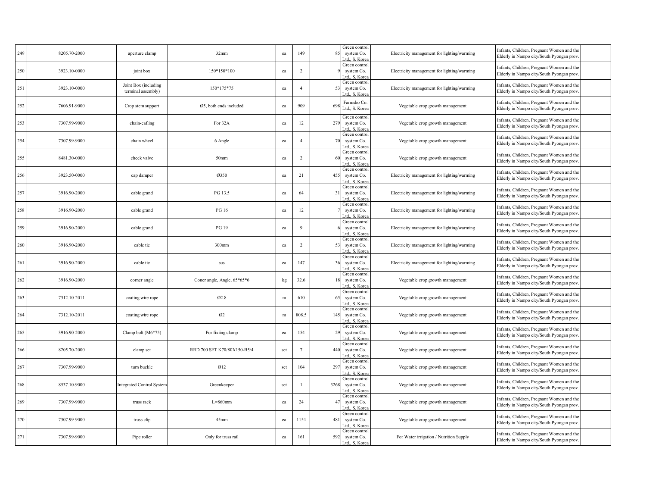| 249 | 8205.70-2000 | aperture clamp                             | 32mm                        | ea  | 149             | 85   | Green control<br>system Co.<br>td., S. Korea  | Electricity management for lighting/warming | Infants, Children, Pregnant Women and the<br>Elderly in Nampo city/South Pyongan prov  |
|-----|--------------|--------------------------------------------|-----------------------------|-----|-----------------|------|-----------------------------------------------|---------------------------------------------|----------------------------------------------------------------------------------------|
| 250 | 3923.10-0000 | joint box                                  | 150*150*100                 | ea  | $\overline{c}$  |      | Green control<br>system Co.<br>Ltd., S. Korea | Electricity management for lighting/warming | Infants, Children, Pregnant Women and the<br>Elderly in Nampo city/South Pyongan prov  |
| 251 | 3923.10-0000 | Joint Box (including<br>terminal assembly) | 150*175*75                  | ea  | $\overline{4}$  | 53   | Green control<br>system Co.<br>Ltd., S. Korea | Electricity management for lighting/warming | Infants, Children, Pregnant Women and the<br>Elderly in Nampo city/South Pyongan prov  |
| 252 | 7606.91-9000 | Crop stem support                          | Ø5, both ends included      | ea  | 909             | 69   | Farmsko Co.<br>Ltd., S. Korea                 | Vegetable crop growth management            | Infants, Children, Pregnant Women and the<br>Elderly in Nampo city/South Pyongan prov  |
| 253 | 7307.99-9000 | chain-cafling                              | For 32A                     | ea  | 12              | 279  | Green control<br>system Co.<br>Ltd., S. Korea | Vegetable crop growth management            | Infants, Children, Pregnant Women and the<br>Elderly in Nampo city/South Pyongan prov  |
| 254 | 7307.99-9000 | chain wheel                                | 6 Angle                     | ea  | $\overline{4}$  | 70   | Green control<br>system Co.<br>Ltd., S. Korea | Vegetable crop growth management            | Infants, Children, Pregnant Women and the<br>Elderly in Nampo city/South Pyongan prov. |
| 255 | 8481.30-0000 | check valve                                | 50 <sub>mm</sub>            | ea  | $\overline{2}$  | 60   | Green control<br>system Co.<br>Ltd., S. Korea | Vegetable crop growth management            | Infants, Children, Pregnant Women and the<br>Elderly in Nampo city/South Pyongan prov  |
| 256 | 3923.50-0000 | cap damper                                 | 0350                        | ea  | 21              | 455  | Green control<br>system Co.<br>Ltd., S. Korea | Electricity management for lighting/warming | Infants, Children, Pregnant Women and the<br>Elderly in Nampo city/South Pyongan prov  |
| 257 | 3916.90-2000 | cable grand                                | PG 13.5                     | ea  | 64              | 31   | Green control<br>system Co.<br>Ltd., S. Korea | Electricity management for lighting/warming | Infants, Children, Pregnant Women and the<br>Elderly in Nampo city/South Pyongan prov  |
| 258 | 3916.90-2000 | cable grand                                | PG 16                       | ea  | 12              |      | Green control<br>system Co.<br>Ltd., S. Korea | Electricity management for lighting/warming | Infants, Children, Pregnant Women and the<br>Elderly in Nampo city/South Pyongan prov  |
| 259 | 3916.90-2000 | cable grand                                | PG 19                       | ea  | $\mathbf{Q}$    |      | Green control<br>system Co.<br>td., S. Kore   | Electricity management for lighting/warming | Infants, Children, Pregnant Women and the<br>Elderly in Nampo city/South Pyongan prov  |
| 260 | 3916.90-2000 | cable tie                                  | 300mm                       | ea  | $\overline{c}$  | 53   | Green control<br>system Co.<br>Ltd., S. Korea | Electricity management for lighting/warming | Infants, Children, Pregnant Women and the<br>Elderly in Nampo city/South Pyongan prov  |
| 261 | 3916.90-2000 | cable tie                                  | sus                         | ea  | 147             | 36   | Green control<br>system Co.<br>Ltd., S. Korea | Electricity management for lighting/warming | Infants, Children, Pregnant Women and the<br>Elderly in Nampo city/South Pyongan prov  |
| 262 | 3916.90-2000 | corner angle                               | Coner angle, Angle, 65*65*6 | kg  | 32.6            | 18   | Green control<br>system Co.<br>.td., S. Korea | Vegetable crop growth management            | Infants, Children, Pregnant Women and the<br>Elderly in Nampo city/South Pyongan prov. |
| 263 | 7312.10-2011 | coating wire rope                          | 02.8                        | m   | 610             | 65   | Green control<br>system Co.<br>td., S. Kore   | Vegetable crop growth management            | Infants, Children, Pregnant Women and the<br>Elderly in Nampo city/South Pyongan prov  |
| 264 | 7312.10-2011 | coating wire rope                          | $\omega$                    | m   | 808.5           | 145  | Green control<br>system Co.<br>Ltd., S. Korea | Vegetable crop growth management            | Infants, Children, Pregnant Women and the<br>Elderly in Nampo city/South Pyongan prov  |
| 265 | 3916.90-2000 | Clamp bolt (M6*75)                         | For fixiing clamp           | ea  | 154             | 29   | Green control<br>system Co.<br>Ltd., S. Korea | Vegetable crop growth management            | Infants, Children, Pregnant Women and the<br>Elderly in Nampo city/South Pyongan prov  |
| 266 | 8205.70-2000 | clamp set                                  | RRD 700 SET K70/80X150-B5/4 | set | $7\phantom{.0}$ | 440  | Green control<br>system Co.<br>.td., S. Korea | Vegetable crop growth management            | Infants, Children, Pregnant Women and the<br>Elderly in Nampo city/South Pyongan prov  |
| 267 | 7307.99-9000 | turn buckle                                | 012                         | set | 104             | 297  | Green control<br>system Co.<br>Ltd., S. Korea | Vegetable crop growth management            | Infants, Children, Pregnant Women and the<br>Elderly in Nampo city/South Pyongan prov  |
| 268 | 8537.10-9000 | <b>Integrated Control System</b>           | Greenkeeper                 | set |                 | 3268 | Green control<br>system Co.<br>Ltd., S. Korea | Vegetable crop growth management            | Infants, Children, Pregnant Women and the<br>Elderly in Nampo city/South Pyongan prov  |
| 269 | 7307.99-9000 | truss rack                                 | $L = 860$ mm                | ea  | 24              | 47   | Green control<br>system Co.<br>Ltd., S. Korea | Vegetable crop growth management            | Infants, Children, Pregnant Women and the<br>Elderly in Nampo city/South Pyongan prov  |
| 270 | 7307.99-9000 | truss clip                                 | $45$ mm                     | ea  | 1154            | 481  | Green control<br>system Co.<br>.td., S. Korea | Vegetable crop growth management            | Infants, Children, Pregnant Women and the<br>Elderly in Nampo city/South Pyongan prov  |
| 271 | 7307.99-9000 | Pipe roller                                | Only for truss rail         | ea  | 161             | 592  | Green control<br>system Co.<br>Ltd., S. Korea | For Water irrigation / Nutrition Supply     | Infants, Children, Pregnant Women and the<br>Elderly in Nampo city/South Pyongan prov. |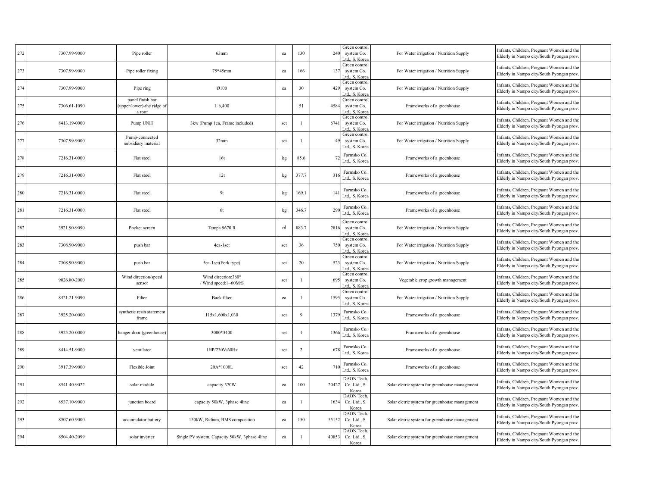| 272 | 7307.99-9000 | Pipe roller                                              | 63mm                                          | ea  | 130            | 240   | Green control<br>system Co.<br>Ltd., S. Korea | For Water irrigation / Nutrition Supply        | Infants, Children, Pregnant Women and the<br>Elderly in Nampo city/South Pyongan prov  |  |
|-----|--------------|----------------------------------------------------------|-----------------------------------------------|-----|----------------|-------|-----------------------------------------------|------------------------------------------------|----------------------------------------------------------------------------------------|--|
| 273 | 7307.99-9000 | Pipe roller fixing                                       | 75*45mm                                       | ea  | 166            | 137   | Green control<br>system Co.<br>Ltd., S. Korea | For Water irrigation / Nutrition Supply        | Infants, Children, Pregnant Women and the<br>Elderly in Nampo city/South Pyongan prov  |  |
| 274 | 7307.99-9000 | Pipe ring                                                | 0100                                          | ea  | 30             | 429   | Green control<br>system Co.<br>Ltd., S. Korea | For Water irrigation / Nutrition Supply        | Infants, Children, Pregnant Women and the<br>Elderly in Nampo city/South Pyongan prov  |  |
| 275 | 7306.61-1090 | panel finish bar<br>(upper/lower)-the ridge of<br>a roof | L 6,400                                       |     | 51             | 4584  | Green control<br>system Co.<br>Ltd., S. Korea | Frameworks of a greenhouse                     | Infants, Children, Pregnant Women and the<br>Elderly in Nampo city/South Pyongan prov  |  |
| 276 | 8413.19-0000 | Pump UNIT                                                | 3kw (Pump 1ea, Frame included)                | set | $\overline{1}$ | 6741  | Green control<br>system Co.<br>td., S. Korea  | For Water irrigation / Nutrition Supply        | Infants, Children, Pregnant Women and the<br>Elderly in Nampo city/South Pyongan prov  |  |
| 277 | 7307.99-9000 | Pump-connected<br>subsidiary material                    | 32mm                                          | set |                | 49    | Green control<br>system Co.<br>Ltd., S. Korea | For Water irrigation / Nutrition Supply        | Infants, Children, Pregnant Women and the<br>Elderly in Nampo city/South Pyongan prov. |  |
| 278 | 7216.31-0000 | Flat steel                                               | 16t                                           | kg  | 85.6           |       | Farmsko Co.<br>Ltd., S. Korea                 | Frameworks of a greenhouse                     | Infants, Children, Pregnant Women and the<br>Elderly in Nampo city/South Pyongan prov  |  |
| 279 | 7216.31-0000 | Flat steel                                               | 12t                                           | kg  | 377.7          | 316   | Farmsko Co.<br>Ltd., S. Korea                 | Frameworks of a greenhouse                     | Infants, Children, Pregnant Women and the<br>Elderly in Nampo city/South Pyongan prov  |  |
| 280 | 7216.31-0000 | Flat steel                                               | 9t                                            | kg  | 169.1          | 14    | Farmsko Co.<br>Ltd., S. Korea                 | Frameworks of a greenhouse                     | Infants, Children, Pregnant Women and the<br>Elderly in Nampo city/South Pyongan prov  |  |
| 281 | 7216.31-0000 | Flat steel                                               | 6t                                            | kg  | 346.7          | 290   | Farmsko Co.<br>Ltd., S. Korea                 | Frameworks of a greenhouse                     | Infants, Children, Pregnant Women and the<br>Elderly in Nampo city/South Pyongan prov  |  |
| 282 | 3921.90-9090 | Pocket screen                                            | Tempa 9670 R                                  | m   | 883.7          | 2816  | Green control<br>system Co.<br>Ltd., S. Korea | For Water irrigation / Nutrition Supply        | Infants, Children, Pregnant Women and the<br>Elderly in Nampo city/South Pyongan prov  |  |
| 283 | 7308.90-9000 | push bar                                                 | 4ea-1set                                      | set | 36             | 750   | Green control<br>system Co.<br>Ltd., S. Korea | For Water irrigation / Nutrition Supply        | Infants, Children, Pregnant Women and the<br>Elderly in Nampo city/South Pyongan prov  |  |
| 284 | 7308.90-9000 | push bar                                                 | 5ea-1set(Fork type)                           | set | 20             | 523   | Green control<br>system Co.<br>Ltd., S. Korea | For Water irrigation / Nutrition Supply        | Infants, Children, Pregnant Women and the<br>Elderly in Nampo city/South Pyongan prov  |  |
| 285 | 9026.80-2000 | Wind direction/speed<br>sensor                           | Wind direction:360°<br>/ Wind speed:1~60M/S   | set |                | 695   | Green control<br>system Co.<br>Ltd., S. Korea | Vegetable crop growth management               | Infants, Children, Pregnant Women and the<br>Elderly in Nampo city/South Pyongan prov. |  |
| 286 | 8421.21-9090 | Filter                                                   | Back filter                                   | ea  | $\overline{1}$ | 1593  | Green control<br>system Co.<br>Ltd., S. Kore  | For Water irrigation / Nutrition Supply        | Infants, Children, Pregnant Women and the<br>Elderly in Nampo city/South Pyongan prov. |  |
| 287 | 3925.20-0000 | synthetic resin statement<br>frame                       | 115x1,600x1,030                               | set | $\mathbf{Q}$   | 137   | Farmsko Co.<br>Ltd., S. Korea                 | Frameworks of a greenhouse                     | Infants, Children, Pregnant Women and the<br>Elderly in Nampo city/South Pyongan prov  |  |
| 288 | 3925.20-0000 | hanger door (greenhouse)                                 | 3000*3400                                     | set |                | 136   | Farmsko Co.<br>Ltd., S. Korea                 | Frameworks of a greenhouse                     | Infants, Children, Pregnant Women and the<br>Elderly in Nampo city/South Pyongan prov  |  |
| 289 | 8414.51-9000 | ventilator                                               | 1HP/230V/60Hz                                 | set | $\overline{c}$ | 67    | Farmsko Co.<br>Ltd., S. Korea                 | Frameworks of a greenhouse                     | Infants, Children, Pregnant Women and the<br>Elderly in Nampo city/South Pyongan prov. |  |
| 290 | 3917.39-9000 | Flexible Joint                                           | 20A*1000L                                     | set | 42             | 710   | Farmsko Co.<br>Ltd., S. Korea                 | Frameworks of a greenhouse                     | Infants, Children, Pregnant Women and the<br>Elderly in Nampo city/South Pyongan prov. |  |
| 291 | 8541.40-9022 | solar module                                             | capacity 370W                                 | ea  | 100            | 20427 | DAON Tech.<br>Co. Ltd., S.<br>Korea           | Solar eletric system for greenhouse management | Infants, Children, Pregnant Women and the<br>Elderly in Nampo city/South Pyongan prov  |  |
| 292 | 8537.10-9000 | junction board                                           | capacity 50kW, 3phase 4line                   | ea  | $\overline{1}$ | 1634  | DAON Tech<br>Co. Ltd., S.<br>Korea            | Solar eletric system for greenhouse management | Infants, Children, Pregnant Women and the<br>Elderly in Nampo city/South Pyongan prov  |  |
| 293 | 8507.60-9000 | accumulator battery                                      | 150kW, Ridium, BMS composition                | ea  | 150            | 55152 | DAON Tech<br>Co. Ltd., S.<br>Korea            | Solar eletric system for greenhouse management | Infants, Children, Pregnant Women and the<br>Elderly in Nampo city/South Pyongan prov. |  |
| 294 | 8504.40-2099 | solar inverter                                           | Single PV system, Capacity 50kW, 3phase 4line | ea  | -1             | 40853 | DAON Tech<br>Co. Ltd., S.<br>Korea            | Solar eletric system for greenhouse management | Infants, Children, Pregnant Women and the<br>Elderly in Nampo city/South Pyongan prov. |  |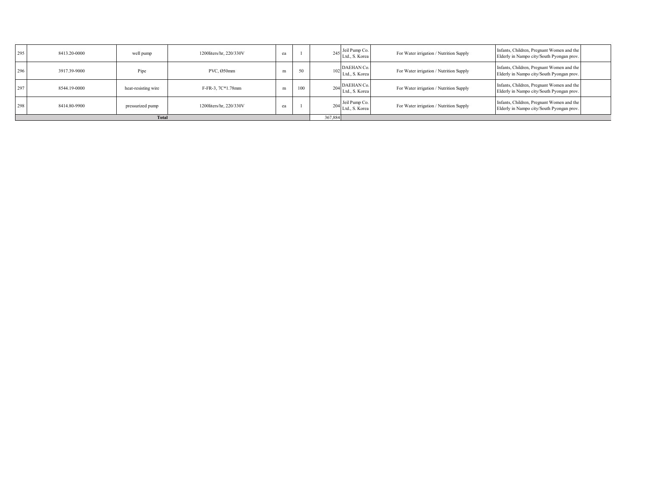| 295 | 8413.20-0000            | well pump           | 1200liters/hr. 220/330V | ea |     |  | 245 Jeil Pump Co.<br>Ltd., S. Korea | For Water irrigation / Nutrition Supply | Infants, Children, Pregnant Women and the<br>Elderly in Nampo city/South Pyongan prov. |  |
|-----|-------------------------|---------------------|-------------------------|----|-----|--|-------------------------------------|-----------------------------------------|----------------------------------------------------------------------------------------|--|
| 296 | 3917.39-9000            | Pipe                | PVC, Ø50mm              | m  | 50  |  | 102 DAEHAN Co.<br>Ltd., S. Korea    | For Water irrigation / Nutrition Supply | Infants, Children, Pregnant Women and the<br>Elderly in Nampo city/South Pyongan prov. |  |
| 297 | 8544.19-0000            | heat-resisting wire | F-FR-3, 7C*1.78mm       | m  | 100 |  | $204$ DAEHAN Co.<br>Ltd., S. Korea  | For Water irrigation / Nutrition Supply | Infants, Children, Pregnant Women and the<br>Elderly in Nampo city/South Pyongan prov. |  |
| 298 | 8414.80-9900            | pressurized pump    | 1200liters/hr. 220/330V | ea |     |  | 204 Jeil Pump Co.<br>Ltd., S. Korea | For Water irrigation / Nutrition Supply | Infants, Children, Pregnant Women and the<br>Elderly in Nampo city/South Pyongan prov. |  |
|     | 367,884<br><b>Total</b> |                     |                         |    |     |  |                                     |                                         |                                                                                        |  |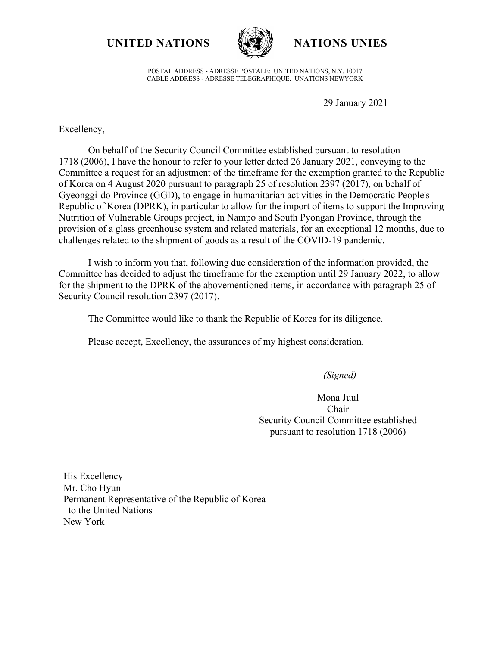**UNITED NATIONS NATIONS UNIES**



POSTAL ADDRESS - ADRESSE POSTALE: UNITED NATIONS, N.Y. 10017 CABLE ADDRESS - ADRESSE TELEGRAPHIQUE: UNATIONS NEWYORK

29 January 2021

Excellency,

On behalf of the Security Council Committee established pursuant to resolution 1718 (2006), I have the honour to refer to your letter dated 26 January 2021, conveying to the Committee a request for an adjustment of the timeframe for the exemption granted to the Republic of Korea on 4 August 2020 pursuant to paragraph 25 of resolution 2397 (2017), on behalf of Gyeonggi-do Province (GGD), to engage in humanitarian activities in the Democratic People's Republic of Korea (DPRK), in particular to allow for the import of items to support the Improving Nutrition of Vulnerable Groups project, in Nampo and South Pyongan Province, through the provision of a glass greenhouse system and related materials, for an exceptional 12 months, due to challenges related to the shipment of goods as a result of the COVID-19 pandemic.

I wish to inform you that, following due consideration of the information provided, the Committee has decided to adjust the timeframe for the exemption until 29 January 2022, to allow for the shipment to the DPRK of the abovementioned items, in accordance with paragraph 25 of Security Council resolution 2397 (2017).

The Committee would like to thank the Republic of Korea for its diligence.

Please accept, Excellency, the assurances of my highest consideration.

*(Signed)*

Mona Juul Chair Security Council Committee established pursuant to resolution 1718 (2006)

His Excellency Mr. Cho Hyun Permanent Representative of the Republic of Korea to the United Nations New York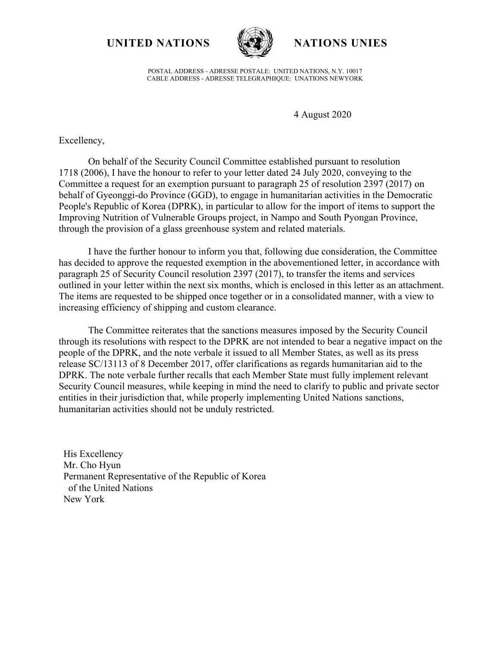**UNITED NATIONS NATIONS UNIES**



POSTAL ADDRESS - ADRESSE POSTALE: UNITED NATIONS, N.Y. 10017 CABLE ADDRESS - ADRESSE TELEGRAPHIQUE: UNATIONS NEWYORK

4 August 2020

Excellency,

On behalf of the Security Council Committee established pursuant to resolution 1718 (2006), I have the honour to refer to your letter dated 24 July 2020, conveying to the Committee a request for an exemption pursuant to paragraph 25 of resolution 2397 (2017) on behalf of Gyeonggi-do Province (GGD), to engage in humanitarian activities in the Democratic People's Republic of Korea (DPRK), in particular to allow for the import of items to support the Improving Nutrition of Vulnerable Groups project, in Nampo and South Pyongan Province, through the provision of a glass greenhouse system and related materials.

I have the further honour to inform you that, following due consideration, the Committee has decided to approve the requested exemption in the abovementioned letter, in accordance with paragraph 25 of Security Council resolution 2397 (2017), to transfer the items and services outlined in your letter within the next six months, which is enclosed in this letter as an attachment. The items are requested to be shipped once together or in a consolidated manner, with a view to increasing efficiency of shipping and custom clearance.

The Committee reiterates that the sanctions measures imposed by the Security Council through its resolutions with respect to the DPRK are not intended to bear a negative impact on the people of the DPRK, and the note verbale it issued to all Member States, as well as its press release SC/13113 of 8 December 2017, offer clarifications as regards humanitarian aid to the DPRK. The note verbale further recalls that each Member State must fully implement relevant Security Council measures, while keeping in mind the need to clarify to public and private sector entities in their jurisdiction that, while properly implementing United Nations sanctions, humanitarian activities should not be unduly restricted.

His Excellency Mr. Cho Hyun Permanent Representative of the Republic of Korea of the United Nations New York